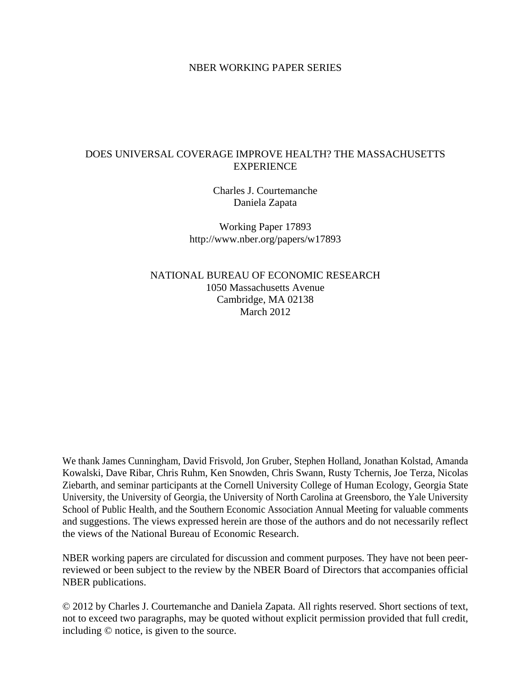#### NBER WORKING PAPER SERIES

## DOES UNIVERSAL COVERAGE IMPROVE HEALTH? THE MASSACHUSETTS **EXPERIENCE**

Charles J. Courtemanche Daniela Zapata

Working Paper 17893 http://www.nber.org/papers/w17893

NATIONAL BUREAU OF ECONOMIC RESEARCH 1050 Massachusetts Avenue Cambridge, MA 02138 March 2012

We thank James Cunningham, David Frisvold, Jon Gruber, Stephen Holland, Jonathan Kolstad, Amanda Kowalski, Dave Ribar, Chris Ruhm, Ken Snowden, Chris Swann, Rusty Tchernis, Joe Terza, Nicolas Ziebarth, and seminar participants at the Cornell University College of Human Ecology, Georgia State University, the University of Georgia, the University of North Carolina at Greensboro, the Yale University School of Public Health, and the Southern Economic Association Annual Meeting for valuable comments and suggestions. The views expressed herein are those of the authors and do not necessarily reflect the views of the National Bureau of Economic Research.

NBER working papers are circulated for discussion and comment purposes. They have not been peerreviewed or been subject to the review by the NBER Board of Directors that accompanies official NBER publications.

© 2012 by Charles J. Courtemanche and Daniela Zapata. All rights reserved. Short sections of text, not to exceed two paragraphs, may be quoted without explicit permission provided that full credit, including © notice, is given to the source.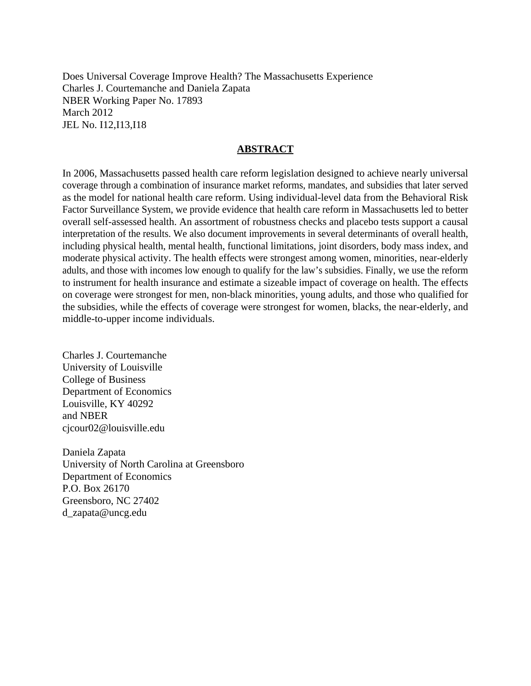Does Universal Coverage Improve Health? The Massachusetts Experience Charles J. Courtemanche and Daniela Zapata NBER Working Paper No. 17893 March 2012 JEL No. I12,I13,I18

#### **ABSTRACT**

In 2006, Massachusetts passed health care reform legislation designed to achieve nearly universal coverage through a combination of insurance market reforms, mandates, and subsidies that later served as the model for national health care reform. Using individual-level data from the Behavioral Risk Factor Surveillance System, we provide evidence that health care reform in Massachusetts led to better overall self-assessed health. An assortment of robustness checks and placebo tests support a causal interpretation of the results. We also document improvements in several determinants of overall health, including physical health, mental health, functional limitations, joint disorders, body mass index, and moderate physical activity. The health effects were strongest among women, minorities, near-elderly adults, and those with incomes low enough to qualify for the law's subsidies. Finally, we use the reform to instrument for health insurance and estimate a sizeable impact of coverage on health. The effects on coverage were strongest for men, non-black minorities, young adults, and those who qualified for the subsidies, while the effects of coverage were strongest for women, blacks, the near-elderly, and middle-to-upper income individuals.

Charles J. Courtemanche University of Louisville College of Business Department of Economics Louisville, KY 40292 and NBER cjcour02@louisville.edu

Daniela Zapata University of North Carolina at Greensboro Department of Economics P.O. Box 26170 Greensboro, NC 27402 d\_zapata@uncg.edu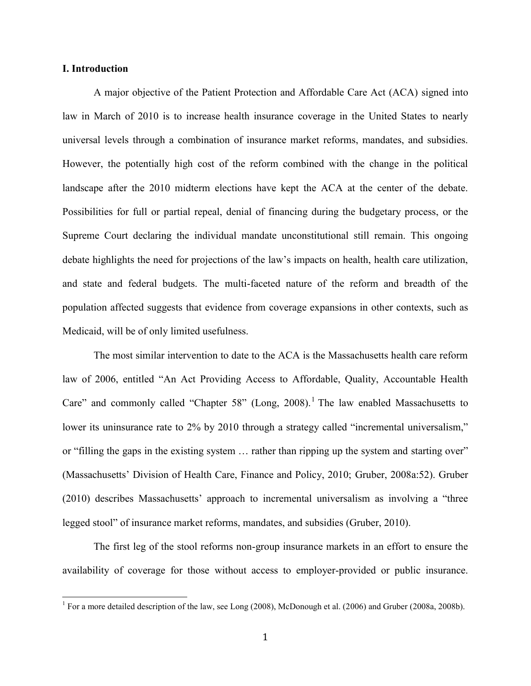#### **I. Introduction**

A major objective of the Patient Protection and Affordable Care Act (ACA) signed into law in March of 2010 is to increase health insurance coverage in the United States to nearly universal levels through a combination of insurance market reforms, mandates, and subsidies. However, the potentially high cost of the reform combined with the change in the political landscape after the 2010 midterm elections have kept the ACA at the center of the debate. Possibilities for full or partial repeal, denial of financing during the budgetary process, or the Supreme Court declaring the individual mandate unconstitutional still remain. This ongoing debate highlights the need for projections of the law's impacts on health, health care utilization, and state and federal budgets. The multi-faceted nature of the reform and breadth of the population affected suggests that evidence from coverage expansions in other contexts, such as Medicaid, will be of only limited usefulness.

The most similar intervention to date to the ACA is the Massachusetts health care reform law of 2006, entitled "An Act Providing Access to Affordable, Quality, Accountable Health Care" and commonly called "Chapter 58" (Long, 2008).<sup>1</sup> The law enabled Massachusetts to lower its uninsurance rate to 2% by 2010 through a strategy called "incremental universalism," or "filling the gaps in the existing system … rather than ripping up the system and starting over" (Massachusetts' Division of Health Care, Finance and Policy, 2010; Gruber, 2008a:52). Gruber (2010) describes Massachusetts' approach to incremental universalism as involving a "three legged stool" of insurance market reforms, mandates, and subsidies (Gruber, 2010).

The first leg of the stool reforms non-group insurance markets in an effort to ensure the availability of coverage for those without access to employer-provided or public insurance.

<sup>&</sup>lt;sup>1</sup> For a more detailed description of the law, see Long (2008), McDonough et al. (2006) and Gruber (2008a, 2008b).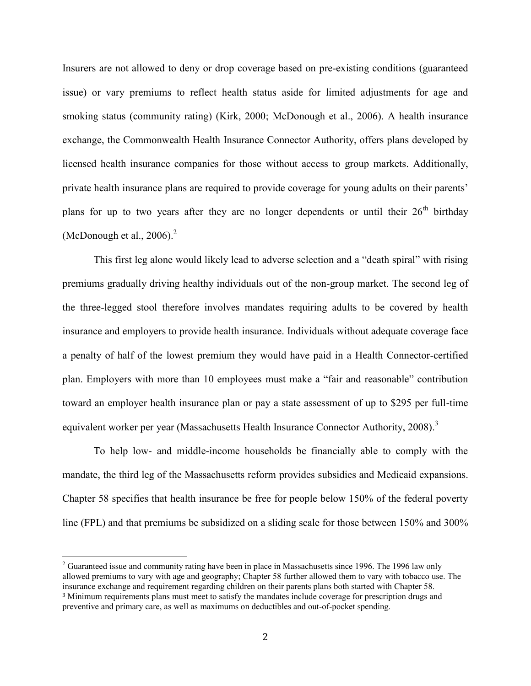Insurers are not allowed to deny or drop coverage based on pre-existing conditions (guaranteed issue) or vary premiums to reflect health status aside for limited adjustments for age and smoking status (community rating) (Kirk, 2000; McDonough et al., 2006). A health insurance exchange, the Commonwealth Health Insurance Connector Authority, offers plans developed by licensed health insurance companies for those without access to group markets. Additionally, private health insurance plans are required to provide coverage for young adults on their parents' plans for up to two years after they are no longer dependents or until their  $26<sup>th</sup>$  birthday (McDonough et al.,  $2006$ ).<sup>2</sup>

This first leg alone would likely lead to adverse selection and a "death spiral" with rising premiums gradually driving healthy individuals out of the non-group market. The second leg of the three-legged stool therefore involves mandates requiring adults to be covered by health insurance and employers to provide health insurance. Individuals without adequate coverage face a penalty of half of the lowest premium they would have paid in a Health Connector-certified plan. Employers with more than 10 employees must make a "fair and reasonable" contribution toward an employer health insurance plan or pay a state assessment of up to \$295 per full-time equivalent worker per year (Massachusetts Health Insurance Connector Authority, 2008).<sup>3</sup>

To help low- and middle-income households be financially able to comply with the mandate, the third leg of the Massachusetts reform provides subsidies and Medicaid expansions. Chapter 58 specifies that health insurance be free for people below 150% of the federal poverty line (FPL) and that premiums be subsidized on a sliding scale for those between 150% and 300%

l

 $2^{2}$  Guaranteed issue and community rating have been in place in Massachusetts since 1996. The 1996 law only allowed premiums to vary with age and geography; Chapter 58 further allowed them to vary with tobacco use. The insurance exchange and requirement regarding children on their parents plans both started with Chapter 58. <sup>3</sup> Minimum requirements plans must meet to satisfy the mandates include coverage for prescription drugs and preventive and primary care, as well as maximums on deductibles and out-of-pocket spending.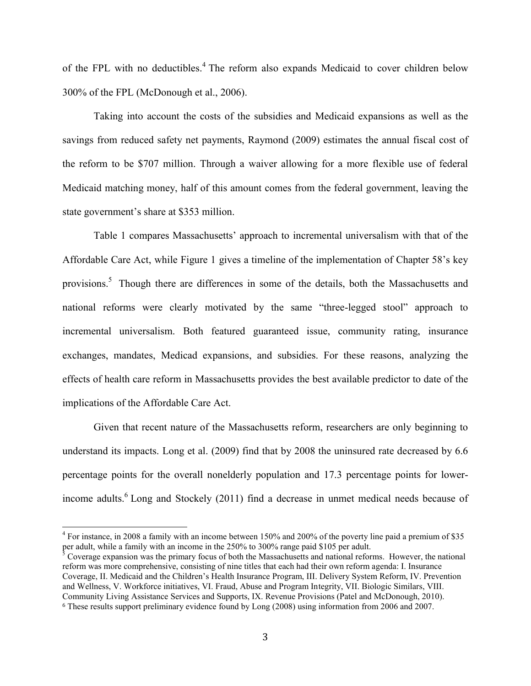of the FPL with no deductibles.<sup>4</sup> The reform also expands Medicaid to cover children below 300% of the FPL (McDonough et al., 2006).

Taking into account the costs of the subsidies and Medicaid expansions as well as the savings from reduced safety net payments, Raymond (2009) estimates the annual fiscal cost of the reform to be \$707 million. Through a waiver allowing for a more flexible use of federal Medicaid matching money, half of this amount comes from the federal government, leaving the state government's share at \$353 million.

Table 1 compares Massachusetts' approach to incremental universalism with that of the Affordable Care Act, while Figure 1 gives a timeline of the implementation of Chapter 58's key provisions.<sup>5</sup> Though there are differences in some of the details, both the Massachusetts and national reforms were clearly motivated by the same "three-legged stool" approach to incremental universalism. Both featured guaranteed issue, community rating, insurance exchanges, mandates, Medicad expansions, and subsidies. For these reasons, analyzing the effects of health care reform in Massachusetts provides the best available predictor to date of the implications of the Affordable Care Act.

Given that recent nature of the Massachusetts reform, researchers are only beginning to understand its impacts. Long et al. (2009) find that by 2008 the uninsured rate decreased by 6.6 percentage points for the overall nonelderly population and 17.3 percentage points for lowerincome adults.<sup>6</sup> Long and Stockely (2011) find a decrease in unmet medical needs because of

<sup>&</sup>lt;sup>4</sup> For instance, in 2008 a family with an income between 150% and 200% of the poverty line paid a premium of \$35 per adult, while a family with an income in the 250% to 300% range paid \$105 per adult.<br><sup>5</sup> Coverage expansion was the primary focus of both the Massachusetts and national reformed

Coverage expansion was the primary focus of both the Massachusetts and national reforms. However, the national reform was more comprehensive, consisting of nine titles that each had their own reform agenda: I. Insurance Coverage, II. Medicaid and the Children's Health Insurance Program, III. Delivery System Reform, IV. Prevention and Wellness, V. Workforce initiatives, VI. Fraud, Abuse and Program Integrity, VII. Biologic Similars, VIII. Community Living Assistance Services and Supports, IX. Revenue Provisions (Patel and McDonough, 2010). <sup>6</sup> These results support preliminary evidence found by Long (2008) using information from 2006 and 2007.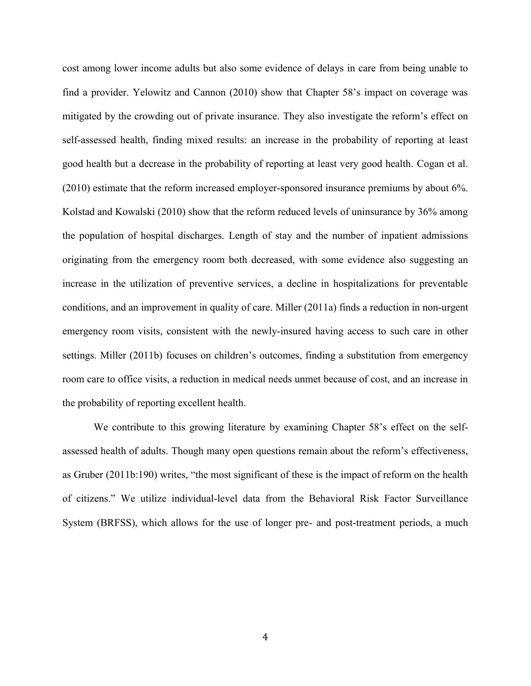cost among lower income adults but also some evidence of delays in care from being unable to find a provider. Yelowitz and Cannon (2010) show that Chapter 58's impact on coverage was mitigated by the crowding out of private insurance. They also investigate the reform's effect on self-assessed health, finding mixed results: an increase in the probability of reporting at least good health but a decrease in the probability of reporting at least very good health. Cogan et al. (2010) estimate that the reform increased employer-sponsored insurance premiums by about 6%. Kolstad and Kowalski (2010) show that the reform reduced levels of uninsurance by 36% among the population of hospital discharges. Length of stay and the number of inpatient admissions originating from the emergency room both decreased, with some evidence also suggesting an increase in the utilization of preventive services, a decline in hospitalizations for preventable conditions, and an improvement in quality of care. Miller (2011a) finds a reduction in non-urgent emergency room visits, consistent with the newly-insured having access to such care in other settings. Miller (2011b) focuses on children's outcomes, finding a substitution from emergency room care to office visits, a reduction in medical needs unmet because of cost, and an increase in the probability of reporting excellent health.

We contribute to this growing literature by examining Chapter 58's effect on the selfassessed health of adults. Though many open questions remain about the reform's effectiveness, as Gruber (2011b:190) writes, "the most significant of these is the impact of reform on the health of citizens." We utilize individual-level data from the Behavioral Risk Factor Surveillance System (BRFSS), which allows for the use of longer pre- and post-treatment periods, a much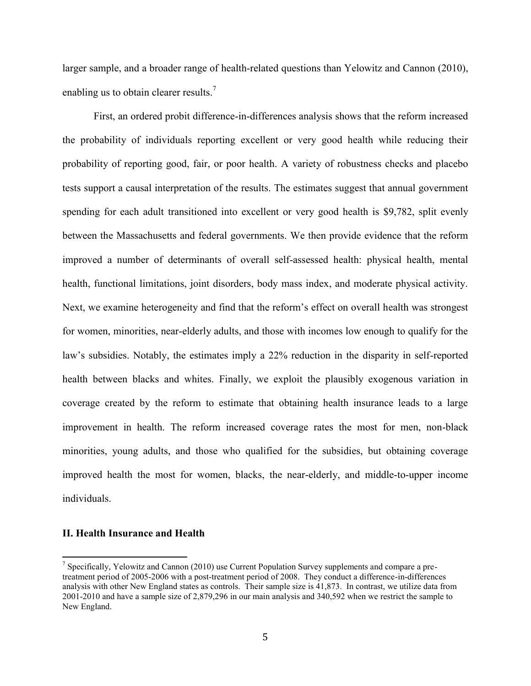larger sample, and a broader range of health-related questions than Yelowitz and Cannon (2010), enabling us to obtain clearer results.<sup>7</sup>

First, an ordered probit difference-in-differences analysis shows that the reform increased the probability of individuals reporting excellent or very good health while reducing their probability of reporting good, fair, or poor health. A variety of robustness checks and placebo tests support a causal interpretation of the results. The estimates suggest that annual government spending for each adult transitioned into excellent or very good health is \$9,782, split evenly between the Massachusetts and federal governments. We then provide evidence that the reform improved a number of determinants of overall self-assessed health: physical health, mental health, functional limitations, joint disorders, body mass index, and moderate physical activity. Next, we examine heterogeneity and find that the reform's effect on overall health was strongest for women, minorities, near-elderly adults, and those with incomes low enough to qualify for the law's subsidies. Notably, the estimates imply a 22% reduction in the disparity in self-reported health between blacks and whites. Finally, we exploit the plausibly exogenous variation in coverage created by the reform to estimate that obtaining health insurance leads to a large improvement in health. The reform increased coverage rates the most for men, non-black minorities, young adults, and those who qualified for the subsidies, but obtaining coverage improved health the most for women, blacks, the near-elderly, and middle-to-upper income individuals.

#### **II. Health Insurance and Health**

<sup>&</sup>lt;sup>7</sup> Specifically, Yelowitz and Cannon (2010) use Current Population Survey supplements and compare a pretreatment period of 2005-2006 with a post-treatment period of 2008. They conduct a difference-in-differences analysis with other New England states as controls. Their sample size is 41,873. In contrast, we utilize data from 2001-2010 and have a sample size of 2,879,296 in our main analysis and 340,592 when we restrict the sample to New England.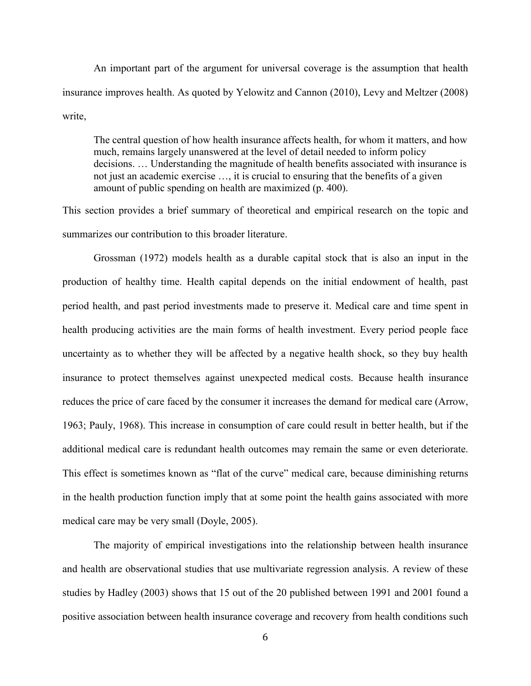An important part of the argument for universal coverage is the assumption that health insurance improves health. As quoted by Yelowitz and Cannon (2010), Levy and Meltzer (2008) write,

The central question of how health insurance affects health, for whom it matters, and how much, remains largely unanswered at the level of detail needed to inform policy decisions. … Understanding the magnitude of health benefits associated with insurance is not just an academic exercise …, it is crucial to ensuring that the benefits of a given amount of public spending on health are maximized (p. 400).

This section provides a brief summary of theoretical and empirical research on the topic and summarizes our contribution to this broader literature.

Grossman (1972) models health as a durable capital stock that is also an input in the production of healthy time. Health capital depends on the initial endowment of health, past period health, and past period investments made to preserve it. Medical care and time spent in health producing activities are the main forms of health investment. Every period people face uncertainty as to whether they will be affected by a negative health shock, so they buy health insurance to protect themselves against unexpected medical costs. Because health insurance reduces the price of care faced by the consumer it increases the demand for medical care (Arrow, 1963; Pauly, 1968). This increase in consumption of care could result in better health, but if the additional medical care is redundant health outcomes may remain the same or even deteriorate. This effect is sometimes known as "flat of the curve" medical care, because diminishing returns in the health production function imply that at some point the health gains associated with more medical care may be very small (Doyle, 2005).

The majority of empirical investigations into the relationship between health insurance and health are observational studies that use multivariate regression analysis. A review of these studies by Hadley (2003) shows that 15 out of the 20 published between 1991 and 2001 found a positive association between health insurance coverage and recovery from health conditions such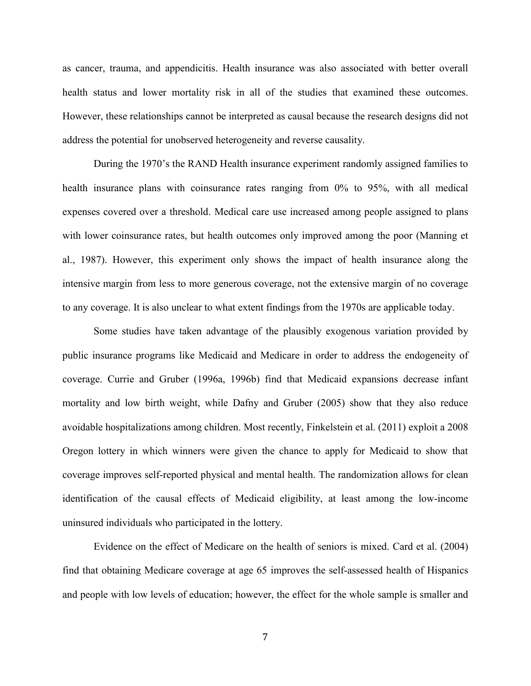as cancer, trauma, and appendicitis. Health insurance was also associated with better overall health status and lower mortality risk in all of the studies that examined these outcomes. However, these relationships cannot be interpreted as causal because the research designs did not address the potential for unobserved heterogeneity and reverse causality.

During the 1970's the RAND Health insurance experiment randomly assigned families to health insurance plans with coinsurance rates ranging from 0% to 95%, with all medical expenses covered over a threshold. Medical care use increased among people assigned to plans with lower coinsurance rates, but health outcomes only improved among the poor (Manning et al., 1987). However, this experiment only shows the impact of health insurance along the intensive margin from less to more generous coverage, not the extensive margin of no coverage to any coverage. It is also unclear to what extent findings from the 1970s are applicable today.

Some studies have taken advantage of the plausibly exogenous variation provided by public insurance programs like Medicaid and Medicare in order to address the endogeneity of coverage. Currie and Gruber (1996a, 1996b) find that Medicaid expansions decrease infant mortality and low birth weight, while Dafny and Gruber (2005) show that they also reduce avoidable hospitalizations among children. Most recently, Finkelstein et al. (2011) exploit a 2008 Oregon lottery in which winners were given the chance to apply for Medicaid to show that coverage improves self-reported physical and mental health. The randomization allows for clean identification of the causal effects of Medicaid eligibility, at least among the low-income uninsured individuals who participated in the lottery.

Evidence on the effect of Medicare on the health of seniors is mixed. Card et al. (2004) find that obtaining Medicare coverage at age 65 improves the self-assessed health of Hispanics and people with low levels of education; however, the effect for the whole sample is smaller and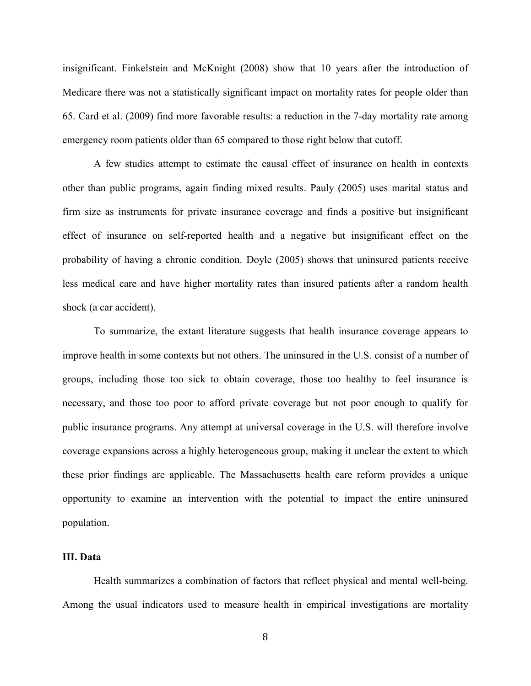insignificant. Finkelstein and McKnight (2008) show that 10 years after the introduction of Medicare there was not a statistically significant impact on mortality rates for people older than 65. Card et al. (2009) find more favorable results: a reduction in the 7-day mortality rate among emergency room patients older than 65 compared to those right below that cutoff.

A few studies attempt to estimate the causal effect of insurance on health in contexts other than public programs, again finding mixed results. Pauly (2005) uses marital status and firm size as instruments for private insurance coverage and finds a positive but insignificant effect of insurance on self-reported health and a negative but insignificant effect on the probability of having a chronic condition. Doyle (2005) shows that uninsured patients receive less medical care and have higher mortality rates than insured patients after a random health shock (a car accident).

To summarize, the extant literature suggests that health insurance coverage appears to improve health in some contexts but not others. The uninsured in the U.S. consist of a number of groups, including those too sick to obtain coverage, those too healthy to feel insurance is necessary, and those too poor to afford private coverage but not poor enough to qualify for public insurance programs. Any attempt at universal coverage in the U.S. will therefore involve coverage expansions across a highly heterogeneous group, making it unclear the extent to which these prior findings are applicable. The Massachusetts health care reform provides a unique opportunity to examine an intervention with the potential to impact the entire uninsured population.

### **III. Data**

 Health summarizes a combination of factors that reflect physical and mental well-being. Among the usual indicators used to measure health in empirical investigations are mortality

8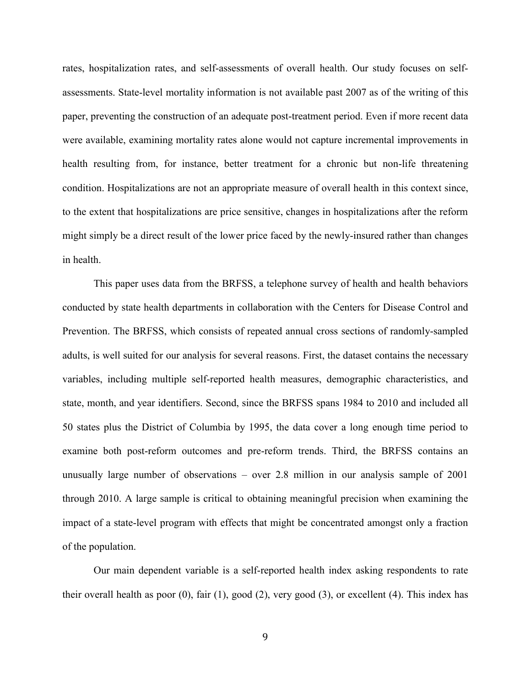rates, hospitalization rates, and self-assessments of overall health. Our study focuses on selfassessments. State-level mortality information is not available past 2007 as of the writing of this paper, preventing the construction of an adequate post-treatment period. Even if more recent data were available, examining mortality rates alone would not capture incremental improvements in health resulting from, for instance, better treatment for a chronic but non-life threatening condition. Hospitalizations are not an appropriate measure of overall health in this context since, to the extent that hospitalizations are price sensitive, changes in hospitalizations after the reform might simply be a direct result of the lower price faced by the newly-insured rather than changes in health.

 This paper uses data from the BRFSS, a telephone survey of health and health behaviors conducted by state health departments in collaboration with the Centers for Disease Control and Prevention. The BRFSS, which consists of repeated annual cross sections of randomly-sampled adults, is well suited for our analysis for several reasons. First, the dataset contains the necessary variables, including multiple self-reported health measures, demographic characteristics, and state, month, and year identifiers. Second, since the BRFSS spans 1984 to 2010 and included all 50 states plus the District of Columbia by 1995, the data cover a long enough time period to examine both post-reform outcomes and pre-reform trends. Third, the BRFSS contains an unusually large number of observations – over 2.8 million in our analysis sample of 2001 through 2010. A large sample is critical to obtaining meaningful precision when examining the impact of a state-level program with effects that might be concentrated amongst only a fraction of the population.

Our main dependent variable is a self-reported health index asking respondents to rate their overall health as poor (0), fair (1), good (2), very good (3), or excellent (4). This index has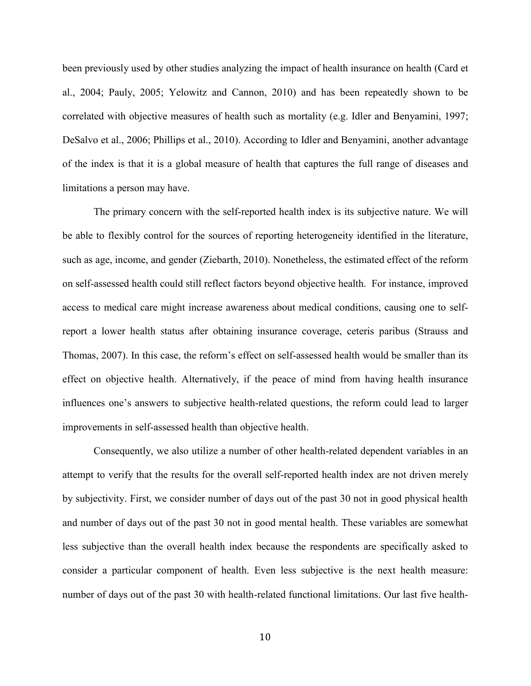been previously used by other studies analyzing the impact of health insurance on health (Card et al., 2004; Pauly, 2005; Yelowitz and Cannon, 2010) and has been repeatedly shown to be correlated with objective measures of health such as mortality (e.g. Idler and Benyamini, 1997; DeSalvo et al., 2006; Phillips et al., 2010). According to Idler and Benyamini, another advantage of the index is that it is a global measure of health that captures the full range of diseases and limitations a person may have.

The primary concern with the self-reported health index is its subjective nature. We will be able to flexibly control for the sources of reporting heterogeneity identified in the literature, such as age, income, and gender (Ziebarth, 2010). Nonetheless, the estimated effect of the reform on self-assessed health could still reflect factors beyond objective health. For instance, improved access to medical care might increase awareness about medical conditions, causing one to selfreport a lower health status after obtaining insurance coverage, ceteris paribus (Strauss and Thomas, 2007). In this case, the reform's effect on self-assessed health would be smaller than its effect on objective health. Alternatively, if the peace of mind from having health insurance influences one's answers to subjective health-related questions, the reform could lead to larger improvements in self-assessed health than objective health.

Consequently, we also utilize a number of other health-related dependent variables in an attempt to verify that the results for the overall self-reported health index are not driven merely by subjectivity. First, we consider number of days out of the past 30 not in good physical health and number of days out of the past 30 not in good mental health. These variables are somewhat less subjective than the overall health index because the respondents are specifically asked to consider a particular component of health. Even less subjective is the next health measure: number of days out of the past 30 with health-related functional limitations. Our last five health-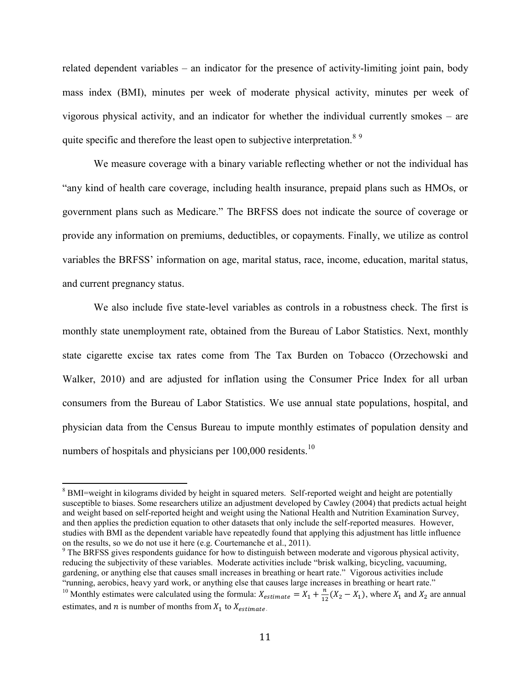related dependent variables – an indicator for the presence of activity-limiting joint pain, body mass index (BMI), minutes per week of moderate physical activity, minutes per week of vigorous physical activity, and an indicator for whether the individual currently smokes – are quite specific and therefore the least open to subjective interpretation.<sup>89</sup>

We measure coverage with a binary variable reflecting whether or not the individual has "any kind of health care coverage, including health insurance, prepaid plans such as HMOs, or government plans such as Medicare." The BRFSS does not indicate the source of coverage or provide any information on premiums, deductibles, or copayments. Finally, we utilize as control variables the BRFSS' information on age, marital status, race, income, education, marital status, and current pregnancy status.

We also include five state-level variables as controls in a robustness check. The first is monthly state unemployment rate, obtained from the Bureau of Labor Statistics. Next, monthly state cigarette excise tax rates come from The Tax Burden on Tobacco (Orzechowski and Walker, 2010) and are adjusted for inflation using the Consumer Price Index for all urban consumers from the Bureau of Labor Statistics. We use annual state populations, hospital, and physician data from the Census Bureau to impute monthly estimates of population density and numbers of hospitals and physicians per 100,000 residents.<sup>10</sup>

<sup>&</sup>lt;sup>8</sup> BMI=weight in kilograms divided by height in squared meters. Self-reported weight and height are potentially susceptible to biases. Some researchers utilize an adjustment developed by Cawley (2004) that predicts actual height and weight based on self-reported height and weight using the National Health and Nutrition Examination Survey, and then applies the prediction equation to other datasets that only include the self-reported measures. However, studies with BMI as the dependent variable have repeatedly found that applying this adjustment has little influence on the results, so we do not use it here (e.g. Courtemanche et al., 2011).

 $9$ <sup>9</sup> The BRFSS gives respondents guidance for how to distinguish between moderate and vigorous physical activity, reducing the subjectivity of these variables. Moderate activities include "brisk walking, bicycling, vacuuming, gardening, or anything else that causes small increases in breathing or heart rate." Vigorous activities include "running, aerobics, heavy yard work, or anything else that causes large increases in breathing or heart rate."

<sup>&</sup>lt;sup>10</sup> Monthly estimates were calculated using the formula:  $X_{estimate} = X_1 + \frac{n}{12}$  $\frac{n}{12}(X_2 - X_1)$ , where  $X_1$  and  $X_2$  are annual estimates, and *n* is number of months from  $X_1$  to  $X_{estimate}$ .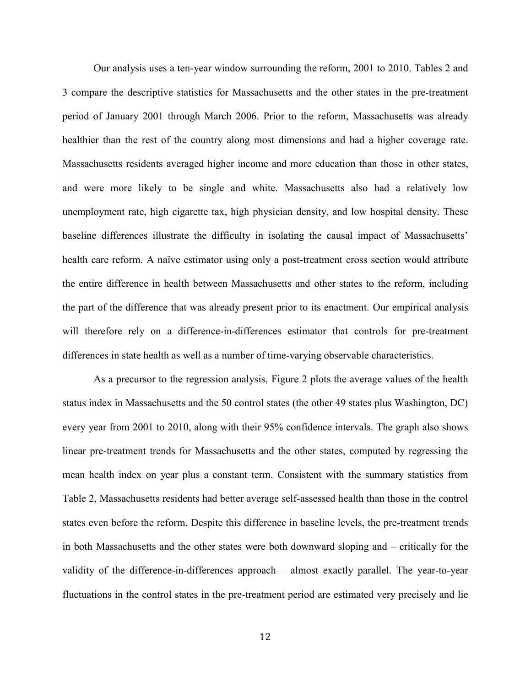Our analysis uses a ten-year window surrounding the reform, 2001 to 2010. Tables 2 and 3 compare the descriptive statistics for Massachusetts and the other states in the pre-treatment period of January 2001 through March 2006. Prior to the reform, Massachusetts was already healthier than the rest of the country along most dimensions and had a higher coverage rate. Massachusetts residents averaged higher income and more education than those in other states, and were more likely to be single and white. Massachusetts also had a relatively low unemployment rate, high cigarette tax, high physician density, and low hospital density. These baseline differences illustrate the difficulty in isolating the causal impact of Massachusetts' health care reform. A naïve estimator using only a post-treatment cross section would attribute the entire difference in health between Massachusetts and other states to the reform, including the part of the difference that was already present prior to its enactment. Our empirical analysis will therefore rely on a difference-in-differences estimator that controls for pre-treatment differences in state health as well as a number of time-varying observable characteristics.

 As a precursor to the regression analysis, Figure 2 plots the average values of the health status index in Massachusetts and the 50 control states (the other 49 states plus Washington, DC) every year from 2001 to 2010, along with their 95% confidence intervals. The graph also shows linear pre-treatment trends for Massachusetts and the other states, computed by regressing the mean health index on year plus a constant term. Consistent with the summary statistics from Table 2, Massachusetts residents had better average self-assessed health than those in the control states even before the reform. Despite this difference in baseline levels, the pre-treatment trends in both Massachusetts and the other states were both downward sloping and – critically for the validity of the difference-in-differences approach – almost exactly parallel. The year-to-year fluctuations in the control states in the pre-treatment period are estimated very precisely and lie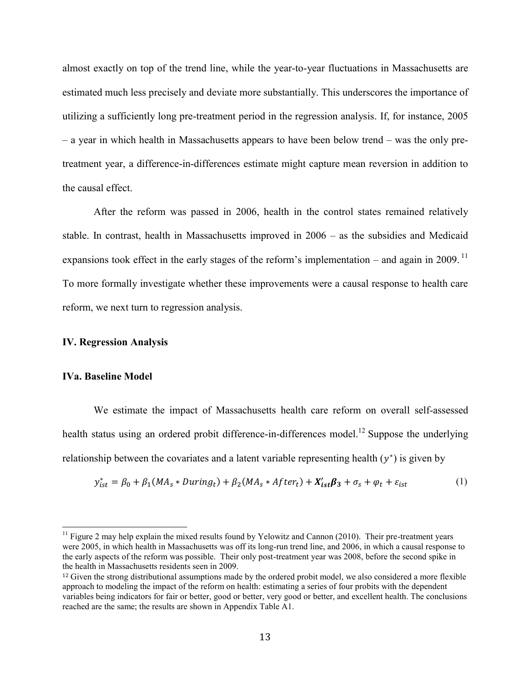almost exactly on top of the trend line, while the year-to-year fluctuations in Massachusetts are estimated much less precisely and deviate more substantially. This underscores the importance of utilizing a sufficiently long pre-treatment period in the regression analysis. If, for instance, 2005 – a year in which health in Massachusetts appears to have been below trend – was the only pretreatment year, a difference-in-differences estimate might capture mean reversion in addition to the causal effect.

After the reform was passed in 2006, health in the control states remained relatively stable. In contrast, health in Massachusetts improved in 2006 – as the subsidies and Medicaid expansions took effect in the early stages of the reform's implementation – and again in 2009.<sup>11</sup> To more formally investigate whether these improvements were a causal response to health care reform, we next turn to regression analysis.

#### **IV. Regression Analysis**

#### **IVa. Baseline Model**

 $\overline{a}$ 

We estimate the impact of Massachusetts health care reform on overall self-assessed health status using an ordered probit difference-in-differences model.<sup>12</sup> Suppose the underlying relationship between the covariates and a latent variable representing health  $(y^*)$  is given by

$$
y_{ist}^* = \beta_0 + \beta_1 (MA_s * During_t) + \beta_2 (MA_s * After_t) + X_{ist}' \beta_3 + \sigma_s + \varphi_t + \varepsilon_{ist}
$$
 (1)

 $11$  Figure 2 may help explain the mixed results found by Yelowitz and Cannon (2010). Their pre-treatment years were 2005, in which health in Massachusetts was off its long-run trend line, and 2006, in which a causal response to the early aspects of the reform was possible. Their only post-treatment year was 2008, before the second spike in the health in Massachusetts residents seen in 2009.

<sup>&</sup>lt;sup>12</sup> Given the strong distributional assumptions made by the ordered probit model, we also considered a more flexible approach to modeling the impact of the reform on health: estimating a series of four probits with the dependent variables being indicators for fair or better, good or better, very good or better, and excellent health. The conclusions reached are the same; the results are shown in Appendix Table A1.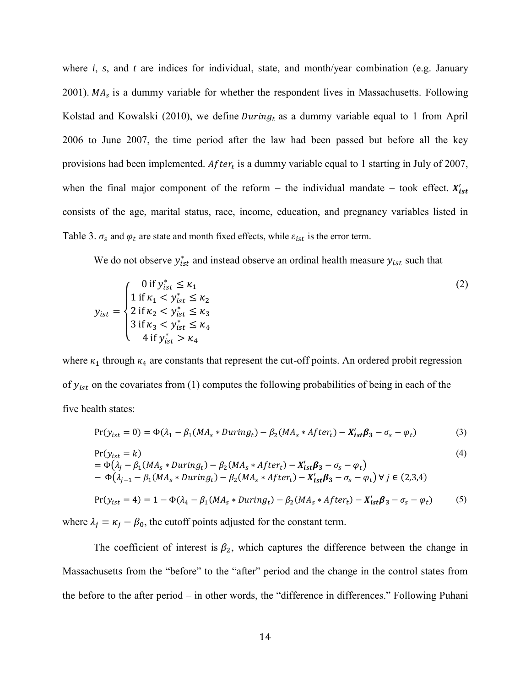where *i*, *s*, and *t* are indices for individual, state, and month/year combination (e.g. January 2001).  $MA<sub>s</sub>$  is a dummy variable for whether the respondent lives in Massachusetts. Following Kolstad and Kowalski (2010), we define *During* as a dummy variable equal to 1 from April 2006 to June 2007, the time period after the law had been passed but before all the key provisions had been implemented. After<sub>t</sub> is a dummy variable equal to 1 starting in July of 2007, when the final major component of the reform – the individual mandate – took effect.  $X_i'$ consists of the age, marital status, race, income, education, and pregnancy variables listed in Table 3.  $\sigma_s$  and  $\varphi_t$  are state and month fixed effects, while  $\varepsilon_{ist}$  is the error term.

We do not observe  $y_{ist}^*$  and instead observe an ordinal health measure  $y_{ist}$  such that

$$
y_{ist} = \begin{cases} 0 \text{ if } y_{ist}^{*} \le \kappa_{1} \\ 1 \text{ if } \kappa_{1} < y_{ist}^{*} \le \kappa_{2} \\ 2 \text{ if } \kappa_{2} < y_{ist}^{*} \le \kappa_{3} \\ 3 \text{ if } \kappa_{3} < y_{ist}^{*} \le \kappa_{4} \\ 4 \text{ if } y_{ist}^{*} > \kappa_{4} \end{cases} \tag{2}
$$

where  $\kappa_1$  through  $\kappa_4$  are constants that represent the cut-off points. An ordered probit regression of  $y_{ist}$  on the covariates from (1) computes the following probabilities of being in each of the five health states:

$$
Pr(y_{ist} = 0) = \Phi(\lambda_1 - \beta_1 (MA_s * During_t) - \beta_2 (MA_s * After_t) - X'_{ist} \beta_3 - \sigma_s - \varphi_t)
$$
(3)

$$
Pr(y_{ist} = k)
$$
  
=  $\Phi(\lambda_j - \beta_1 (MA_s * During_t) - \beta_2 (MA_s * After_t) - X'_{ist} \beta_3 - \sigma_s - \varphi_t)$  (4)

$$
- \Phi(\lambda_{j-1} - \beta_1(MA_s * During_t) - \beta_2(MA_s * After_t) - X'_{ist}\beta_3 - \sigma_s - \varphi_t) \,\forall\, j \in (2,3,4)
$$

$$
Pr(y_{ist} = 4) = 1 - \Phi(\lambda_4 - \beta_1(MA_s * During_t) - \beta_2(MA_s * After_t) - X'_{ist}\beta_3 - \sigma_s - \varphi_t)
$$
(5)

where  $\lambda_j = \kappa_j - \beta_0$ , the cutoff points adjusted for the constant term.

The coefficient of interest is  $\beta_2$ , which captures the difference between the change in Massachusetts from the "before" to the "after" period and the change in the control states from the before to the after period – in other words, the "difference in differences." Following Puhani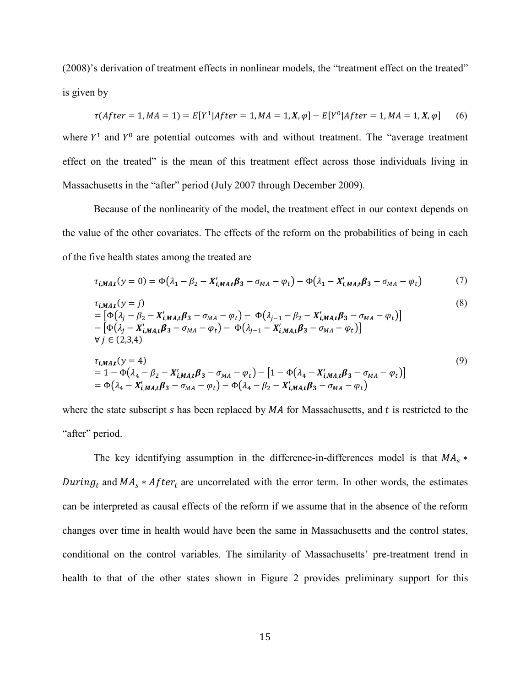(2008)'s derivation of treatment effects in nonlinear models, the "treatment effect on the treated" is given by

$$
\tau(After = 1, MA = 1) = E[Y^1|After = 1, MA = 1, X, \varphi] - E[Y^0|After = 1, MA = 1, X, \varphi]
$$
 (6)

where  $Y^1$  and  $Y^0$  are potential outcomes with and without treatment. The "average treatment" effect on the treated" is the mean of this treatment effect across those individuals living in Massachusetts in the "after" period (July 2007 through December 2009).

Because of the nonlinearity of the model, the treatment effect in our context depends on the value of the other covariates. The effects of the reform on the probabilities of being in each of the five health states among the treated are

$$
\tau_{i,MA,t}(y=0) = \Phi(\lambda_1 - \beta_2 - X'_{i,MA,t}\beta_3 - \sigma_{MA} - \varphi_t) - \Phi(\lambda_1 - X'_{i,MA,t}\beta_3 - \sigma_{MA} - \varphi_t)
$$
(7)

$$
\tau_{i,MA,t}(y = j)
$$
\n
$$
= [\Phi(\lambda_j - \beta_2 - X'_{i,MA,t}\beta_3 - \sigma_{MA} - \varphi_t) - \Phi(\lambda_{j-1} - \beta_2 - X'_{i,MA,t}\beta_3 - \sigma_{MA} - \varphi_t)]
$$
\n
$$
- [\Phi(\lambda_j - X'_{i,MA,t}\beta_3 - \sigma_{MA} - \varphi_t) - \Phi(\lambda_{j-1} - X'_{i,MA,t}\beta_3 - \sigma_{MA} - \varphi_t)]
$$
\n
$$
\forall j \in (2,3,4)
$$
\n
$$
\tau_{i,MA,t}(y = 4)
$$
\n
$$
= 1 - \Phi(\lambda_4 - \beta_2 - X'_{i,MA,t}\beta_3 - \sigma_{MA} - \varphi_t) - [1 - \Phi(\lambda_4 - X'_{i,MA,t}\beta_3 - \sigma_{MA} - \varphi_t)]
$$
\n(9)

where the state subscript s has been replaced by  $MA$  for Massachusetts, and t is restricted to the "after" period.

 $=\Phi(\lambda_4 - X'_{i,MA,t}\beta_3 - \sigma_{MA} - \varphi_t) - \Phi(\lambda_4 - \beta_2 - X'_i)$ 

The key identifying assumption in the difference-in-differences model is that  $MA_s$  \* During<sub>t</sub> and  $MA_s * After_t$  are uncorrelated with the error term. In other words, the estimates can be interpreted as causal effects of the reform if we assume that in the absence of the reform changes over time in health would have been the same in Massachusetts and the control states, conditional on the control variables. The similarity of Massachusetts' pre-treatment trend in health to that of the other states shown in Figure 2 provides preliminary support for this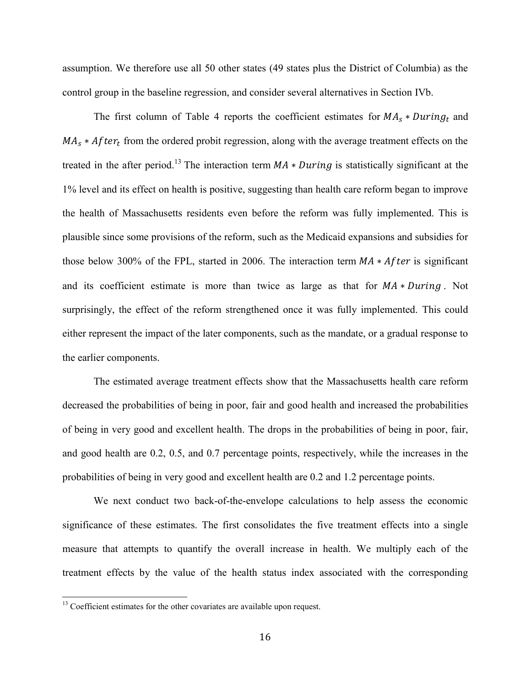assumption. We therefore use all 50 other states (49 states plus the District of Columbia) as the control group in the baseline regression, and consider several alternatives in Section IVb.

The first column of Table 4 reports the coefficient estimates for  $MA_s * During_t$  and  $MA_s * After_t$  from the ordered probit regression, along with the average treatment effects on the treated in the after period.<sup>13</sup> The interaction term  $MA * During$  is statistically significant at the 1% level and its effect on health is positive, suggesting than health care reform began to improve the health of Massachusetts residents even before the reform was fully implemented. This is plausible since some provisions of the reform, such as the Medicaid expansions and subsidies for those below 300% of the FPL, started in 2006. The interaction term  $MA * After$  is significant and its coefficient estimate is more than twice as large as that for  $MA * During$ . Not surprisingly, the effect of the reform strengthened once it was fully implemented. This could either represent the impact of the later components, such as the mandate, or a gradual response to the earlier components.

 The estimated average treatment effects show that the Massachusetts health care reform decreased the probabilities of being in poor, fair and good health and increased the probabilities of being in very good and excellent health. The drops in the probabilities of being in poor, fair, and good health are 0.2, 0.5, and 0.7 percentage points, respectively, while the increases in the probabilities of being in very good and excellent health are 0.2 and 1.2 percentage points.

We next conduct two back-of-the-envelope calculations to help assess the economic significance of these estimates. The first consolidates the five treatment effects into a single measure that attempts to quantify the overall increase in health. We multiply each of the treatment effects by the value of the health status index associated with the corresponding

 $13$  Coefficient estimates for the other covariates are available upon request.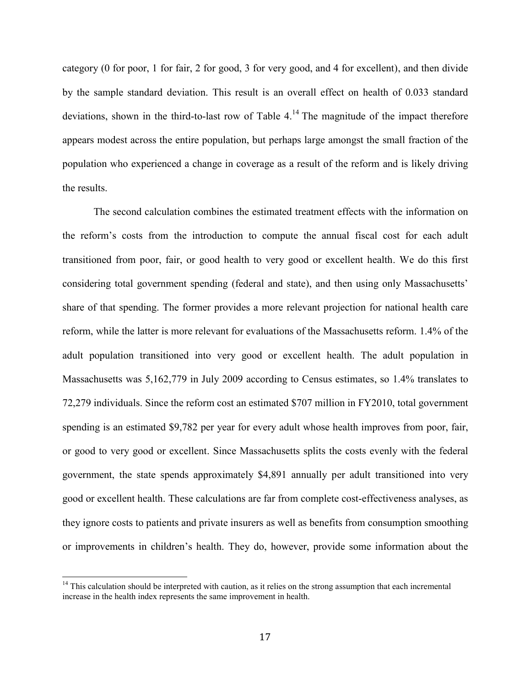category (0 for poor, 1 for fair, 2 for good, 3 for very good, and 4 for excellent), and then divide by the sample standard deviation. This result is an overall effect on health of 0.033 standard deviations, shown in the third-to-last row of Table  $4<sup>14</sup>$ . The magnitude of the impact therefore appears modest across the entire population, but perhaps large amongst the small fraction of the population who experienced a change in coverage as a result of the reform and is likely driving the results.

 The second calculation combines the estimated treatment effects with the information on the reform's costs from the introduction to compute the annual fiscal cost for each adult transitioned from poor, fair, or good health to very good or excellent health. We do this first considering total government spending (federal and state), and then using only Massachusetts' share of that spending. The former provides a more relevant projection for national health care reform, while the latter is more relevant for evaluations of the Massachusetts reform. 1.4% of the adult population transitioned into very good or excellent health. The adult population in Massachusetts was 5,162,779 in July 2009 according to Census estimates, so 1.4% translates to 72,279 individuals. Since the reform cost an estimated \$707 million in FY2010, total government spending is an estimated \$9,782 per year for every adult whose health improves from poor, fair, or good to very good or excellent. Since Massachusetts splits the costs evenly with the federal government, the state spends approximately \$4,891 annually per adult transitioned into very good or excellent health. These calculations are far from complete cost-effectiveness analyses, as they ignore costs to patients and private insurers as well as benefits from consumption smoothing or improvements in children's health. They do, however, provide some information about the

<sup>&</sup>lt;sup>14</sup> This calculation should be interpreted with caution, as it relies on the strong assumption that each incremental increase in the health index represents the same improvement in health.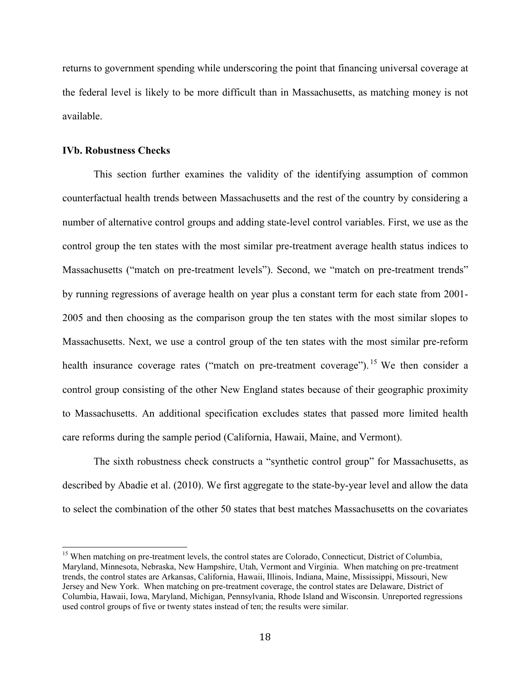returns to government spending while underscoring the point that financing universal coverage at the federal level is likely to be more difficult than in Massachusetts, as matching money is not available.

#### **IVb. Robustness Checks**

l

This section further examines the validity of the identifying assumption of common counterfactual health trends between Massachusetts and the rest of the country by considering a number of alternative control groups and adding state-level control variables. First, we use as the control group the ten states with the most similar pre-treatment average health status indices to Massachusetts ("match on pre-treatment levels"). Second, we "match on pre-treatment trends" by running regressions of average health on year plus a constant term for each state from 2001- 2005 and then choosing as the comparison group the ten states with the most similar slopes to Massachusetts. Next, we use a control group of the ten states with the most similar pre-reform health insurance coverage rates ("match on pre-treatment coverage").<sup>15</sup> We then consider a control group consisting of the other New England states because of their geographic proximity to Massachusetts. An additional specification excludes states that passed more limited health care reforms during the sample period (California, Hawaii, Maine, and Vermont).

The sixth robustness check constructs a "synthetic control group" for Massachusetts, as described by Abadie et al. (2010). We first aggregate to the state-by-year level and allow the data to select the combination of the other 50 states that best matches Massachusetts on the covariates

<sup>&</sup>lt;sup>15</sup> When matching on pre-treatment levels, the control states are Colorado, Connecticut, District of Columbia, Maryland, Minnesota, Nebraska, New Hampshire, Utah, Vermont and Virginia. When matching on pre-treatment trends, the control states are Arkansas, California, Hawaii, Illinois, Indiana, Maine, Mississippi, Missouri, New Jersey and New York. When matching on pre-treatment coverage, the control states are Delaware, District of Columbia, Hawaii, Iowa, Maryland, Michigan, Pennsylvania, Rhode Island and Wisconsin. Unreported regressions used control groups of five or twenty states instead of ten; the results were similar.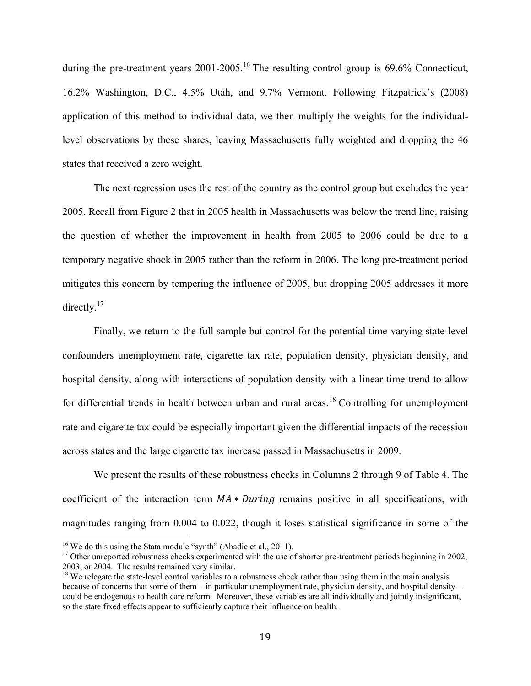during the pre-treatment years 2001-2005.<sup>16</sup> The resulting control group is 69.6% Connecticut, 16.2% Washington, D.C., 4.5% Utah, and 9.7% Vermont. Following Fitzpatrick's (2008) application of this method to individual data, we then multiply the weights for the individuallevel observations by these shares, leaving Massachusetts fully weighted and dropping the 46 states that received a zero weight.

The next regression uses the rest of the country as the control group but excludes the year 2005. Recall from Figure 2 that in 2005 health in Massachusetts was below the trend line, raising the question of whether the improvement in health from 2005 to 2006 could be due to a temporary negative shock in 2005 rather than the reform in 2006. The long pre-treatment period mitigates this concern by tempering the influence of 2005, but dropping 2005 addresses it more directly. $17$ 

Finally, we return to the full sample but control for the potential time-varying state-level confounders unemployment rate, cigarette tax rate, population density, physician density, and hospital density, along with interactions of population density with a linear time trend to allow for differential trends in health between urban and rural areas.<sup>18</sup> Controlling for unemployment rate and cigarette tax could be especially important given the differential impacts of the recession across states and the large cigarette tax increase passed in Massachusetts in 2009.

We present the results of these robustness checks in Columns 2 through 9 of Table 4. The coefficient of the interaction term  $MA * During$  remains positive in all specifications, with magnitudes ranging from 0.004 to 0.022, though it loses statistical significance in some of the

<sup>&</sup>lt;sup>16</sup> We do this using the Stata module "synth" (Abadie et al., 2011).

 $17$  Other unreported robustness checks experimented with the use of shorter pre-treatment periods beginning in 2002, 2003, or 2004. The results remained very similar.

 $18$  We relegate the state-level control variables to a robustness check rather than using them in the main analysis because of concerns that some of them – in particular unemployment rate, physician density, and hospital density – could be endogenous to health care reform. Moreover, these variables are all individually and jointly insignificant, so the state fixed effects appear to sufficiently capture their influence on health.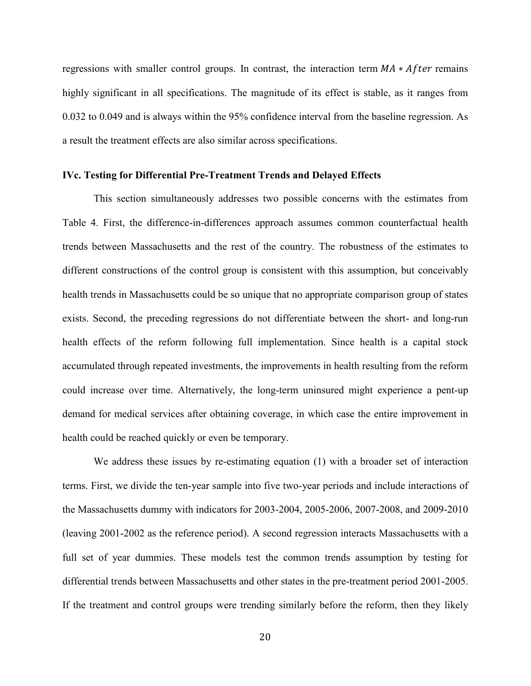regressions with smaller control groups. In contrast, the interaction term  $MA * After$  remains highly significant in all specifications. The magnitude of its effect is stable, as it ranges from 0.032 to 0.049 and is always within the 95% confidence interval from the baseline regression. As a result the treatment effects are also similar across specifications.

#### **IVc. Testing for Differential Pre-Treatment Trends and Delayed Effects**

This section simultaneously addresses two possible concerns with the estimates from Table 4. First, the difference-in-differences approach assumes common counterfactual health trends between Massachusetts and the rest of the country. The robustness of the estimates to different constructions of the control group is consistent with this assumption, but conceivably health trends in Massachusetts could be so unique that no appropriate comparison group of states exists. Second, the preceding regressions do not differentiate between the short- and long-run health effects of the reform following full implementation. Since health is a capital stock accumulated through repeated investments, the improvements in health resulting from the reform could increase over time. Alternatively, the long-term uninsured might experience a pent-up demand for medical services after obtaining coverage, in which case the entire improvement in health could be reached quickly or even be temporary.

 We address these issues by re-estimating equation (1) with a broader set of interaction terms. First, we divide the ten-year sample into five two-year periods and include interactions of the Massachusetts dummy with indicators for 2003-2004, 2005-2006, 2007-2008, and 2009-2010 (leaving 2001-2002 as the reference period). A second regression interacts Massachusetts with a full set of year dummies. These models test the common trends assumption by testing for differential trends between Massachusetts and other states in the pre-treatment period 2001-2005. If the treatment and control groups were trending similarly before the reform, then they likely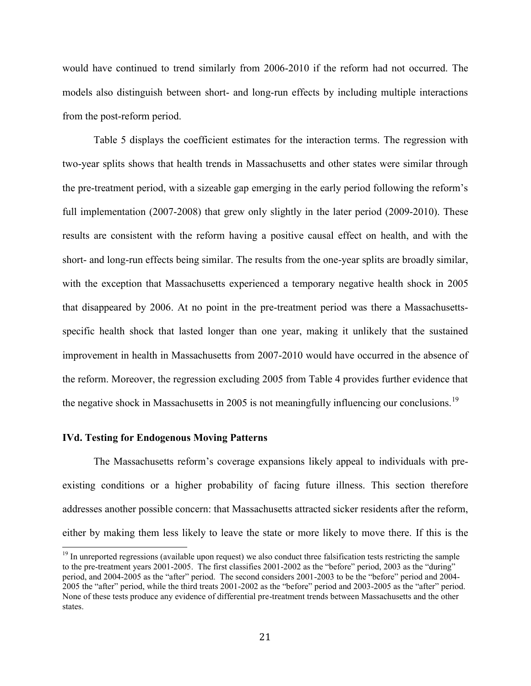would have continued to trend similarly from 2006-2010 if the reform had not occurred. The models also distinguish between short- and long-run effects by including multiple interactions from the post-reform period.

 Table 5 displays the coefficient estimates for the interaction terms. The regression with two-year splits shows that health trends in Massachusetts and other states were similar through the pre-treatment period, with a sizeable gap emerging in the early period following the reform's full implementation (2007-2008) that grew only slightly in the later period (2009-2010). These results are consistent with the reform having a positive causal effect on health, and with the short- and long-run effects being similar. The results from the one-year splits are broadly similar, with the exception that Massachusetts experienced a temporary negative health shock in 2005 that disappeared by 2006. At no point in the pre-treatment period was there a Massachusettsspecific health shock that lasted longer than one year, making it unlikely that the sustained improvement in health in Massachusetts from 2007-2010 would have occurred in the absence of the reform. Moreover, the regression excluding 2005 from Table 4 provides further evidence that the negative shock in Massachusetts in 2005 is not meaningfully influencing our conclusions.<sup>19</sup>

#### **IVd. Testing for Endogenous Moving Patterns**

l

The Massachusetts reform's coverage expansions likely appeal to individuals with preexisting conditions or a higher probability of facing future illness. This section therefore addresses another possible concern: that Massachusetts attracted sicker residents after the reform, either by making them less likely to leave the state or more likely to move there. If this is the

<sup>&</sup>lt;sup>19</sup> In unreported regressions (available upon request) we also conduct three falsification tests restricting the sample to the pre-treatment years 2001-2005. The first classifies 2001-2002 as the "before" period, 2003 as the "during" period, and 2004-2005 as the "after" period. The second considers 2001-2003 to be the "before" period and 2004- 2005 the "after" period, while the third treats 2001-2002 as the "before" period and 2003-2005 as the "after" period. None of these tests produce any evidence of differential pre-treatment trends between Massachusetts and the other states.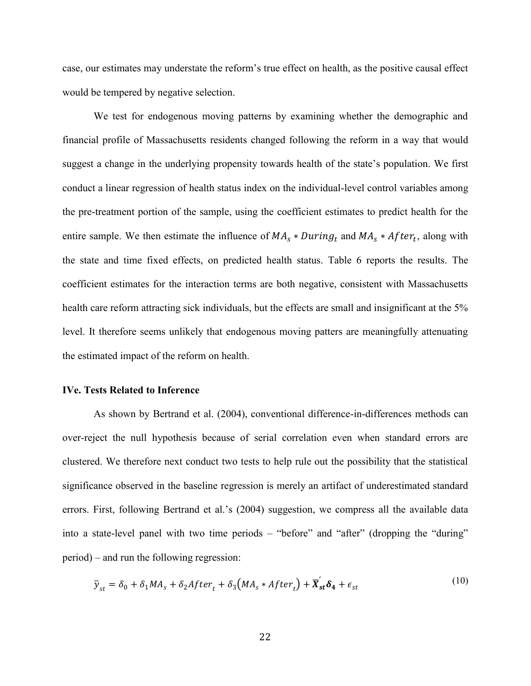case, our estimates may understate the reform's true effect on health, as the positive causal effect would be tempered by negative selection.

We test for endogenous moving patterns by examining whether the demographic and financial profile of Massachusetts residents changed following the reform in a way that would suggest a change in the underlying propensity towards health of the state's population. We first conduct a linear regression of health status index on the individual-level control variables among the pre-treatment portion of the sample, using the coefficient estimates to predict health for the entire sample. We then estimate the influence of  $MA<sub>s</sub> * During<sub>t</sub>$  and  $MA<sub>s</sub> * After<sub>t</sub>$ , along with the state and time fixed effects, on predicted health status. Table 6 reports the results. The coefficient estimates for the interaction terms are both negative, consistent with Massachusetts health care reform attracting sick individuals, but the effects are small and insignificant at the 5% level. It therefore seems unlikely that endogenous moving patters are meaningfully attenuating the estimated impact of the reform on health.

#### **IVe. Tests Related to Inference**

 As shown by Bertrand et al. (2004), conventional difference-in-differences methods can over-reject the null hypothesis because of serial correlation even when standard errors are clustered. We therefore next conduct two tests to help rule out the possibility that the statistical significance observed in the baseline regression is merely an artifact of underestimated standard errors. First, following Bertrand et al.'s (2004) suggestion, we compress all the available data into a state-level panel with two time periods – "before" and "after" (dropping the "during" period) – and run the following regression:

$$
\overline{y}_{st} = \delta_0 + \delta_1 MA_s + \delta_2 After_t + \delta_3 \left( MA_s * After_t \right) + \overline{X}_{st}' \delta_4 + \epsilon_{st}
$$
\n(10)

 $(10)$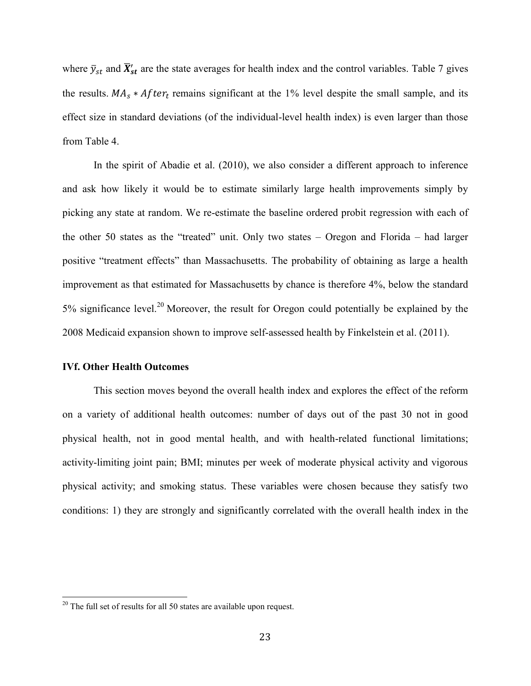where  $\bar{y}_{st}$  and  $\bar{X}_{st}'$  are the state averages for health index and the control variables. Table 7 gives the results.  $MA_s * After_t$  remains significant at the 1% level despite the small sample, and its effect size in standard deviations (of the individual-level health index) is even larger than those from Table 4.

 In the spirit of Abadie et al. (2010), we also consider a different approach to inference and ask how likely it would be to estimate similarly large health improvements simply by picking any state at random. We re-estimate the baseline ordered probit regression with each of the other 50 states as the "treated" unit. Only two states – Oregon and Florida – had larger positive "treatment effects" than Massachusetts. The probability of obtaining as large a health improvement as that estimated for Massachusetts by chance is therefore 4%, below the standard 5% significance level.<sup>20</sup> Moreover, the result for Oregon could potentially be explained by the 2008 Medicaid expansion shown to improve self-assessed health by Finkelstein et al. (2011).

### **IVf. Other Health Outcomes**

 $\overline{a}$ 

This section moves beyond the overall health index and explores the effect of the reform on a variety of additional health outcomes: number of days out of the past 30 not in good physical health, not in good mental health, and with health-related functional limitations; activity-limiting joint pain; BMI; minutes per week of moderate physical activity and vigorous physical activity; and smoking status. These variables were chosen because they satisfy two conditions: 1) they are strongly and significantly correlated with the overall health index in the

 $20$  The full set of results for all 50 states are available upon request.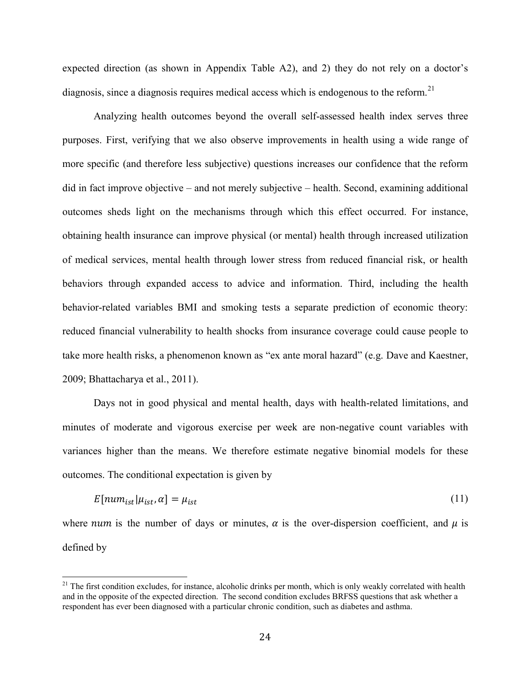expected direction (as shown in Appendix Table A2), and 2) they do not rely on a doctor's diagnosis, since a diagnosis requires medical access which is endogenous to the reform.<sup>21</sup>

Analyzing health outcomes beyond the overall self-assessed health index serves three purposes. First, verifying that we also observe improvements in health using a wide range of more specific (and therefore less subjective) questions increases our confidence that the reform did in fact improve objective – and not merely subjective – health. Second, examining additional outcomes sheds light on the mechanisms through which this effect occurred. For instance, obtaining health insurance can improve physical (or mental) health through increased utilization of medical services, mental health through lower stress from reduced financial risk, or health behaviors through expanded access to advice and information. Third, including the health behavior-related variables BMI and smoking tests a separate prediction of economic theory: reduced financial vulnerability to health shocks from insurance coverage could cause people to take more health risks, a phenomenon known as "ex ante moral hazard" (e.g. Dave and Kaestner, 2009; Bhattacharya et al., 2011).

Days not in good physical and mental health, days with health-related limitations, and minutes of moderate and vigorous exercise per week are non-negative count variables with variances higher than the means. We therefore estimate negative binomial models for these outcomes. The conditional expectation is given by

$$
E[num_{ist}|\mu_{ist},\alpha] = \mu_{ist} \tag{11}
$$

where *num* is the number of days or minutes,  $\alpha$  is the over-dispersion coefficient, and  $\mu$  is defined by

 $21$  The first condition excludes, for instance, alcoholic drinks per month, which is only weakly correlated with health and in the opposite of the expected direction. The second condition excludes BRFSS questions that ask whether a respondent has ever been diagnosed with a particular chronic condition, such as diabetes and asthma.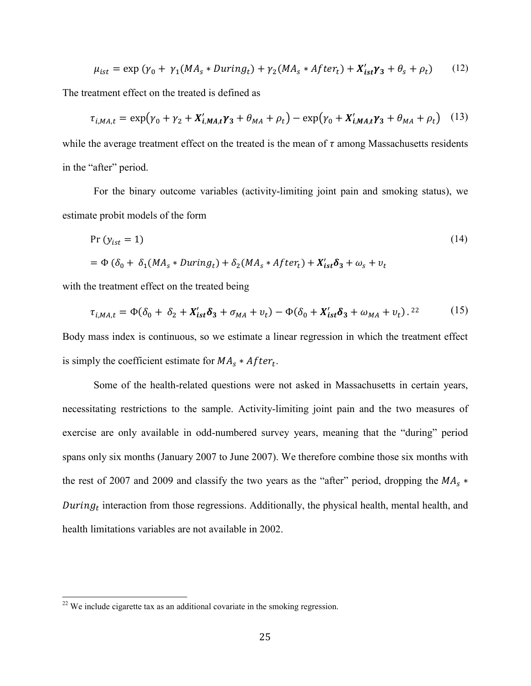$$
\mu_{ist} = \exp\left(\gamma_0 + \gamma_1 (MA_s * During_t) + \gamma_2 (MA_s * After_t) + X'_{ist}\gamma_3 + \theta_s + \rho_t\right) \tag{12}
$$

The treatment effect on the treated is defined as

$$
\tau_{i,MA,t} = \exp(\gamma_0 + \gamma_2 + X'_{i,MA,t}\gamma_3 + \theta_{MA} + \rho_t) - \exp(\gamma_0 + X'_{i,MA,t}\gamma_3 + \theta_{MA} + \rho_t)
$$
 (13)

while the average treatment effect on the treated is the mean of  $\tau$  among Massachusetts residents in the "after" period.

 For the binary outcome variables (activity-limiting joint pain and smoking status), we estimate probit models of the form

$$
\begin{aligned} \Pr\left(y_{ist} = 1\right) \\ &= \Phi\left(\delta_0 + \delta_1(MA_s * During_t) + \delta_2(MA_s * After_t) + X_{ist}'\delta_3 + \omega_s + v_t \right) \end{aligned} \tag{14}
$$

with the treatment effect on the treated being

$$
\tau_{i,MA,t} = \Phi(\delta_0 + \delta_2 + X'_{ist}\delta_3 + \sigma_{MA} + v_t) - \Phi(\delta_0 + X'_{ist}\delta_3 + \omega_{MA} + v_t).^{22}
$$
(15)

Body mass index is continuous, so we estimate a linear regression in which the treatment effect is simply the coefficient estimate for  $MA_s * After_t$ .

Some of the health-related questions were not asked in Massachusetts in certain years, necessitating restrictions to the sample. Activity-limiting joint pain and the two measures of exercise are only available in odd-numbered survey years, meaning that the "during" period spans only six months (January 2007 to June 2007). We therefore combine those six months with the rest of 2007 and 2009 and classify the two years as the "after" period, dropping the  $MA_s$  \* During<sub>t</sub> interaction from those regressions. Additionally, the physical health, mental health, and health limitations variables are not available in 2002.

 $22$  We include cigarette tax as an additional covariate in the smoking regression.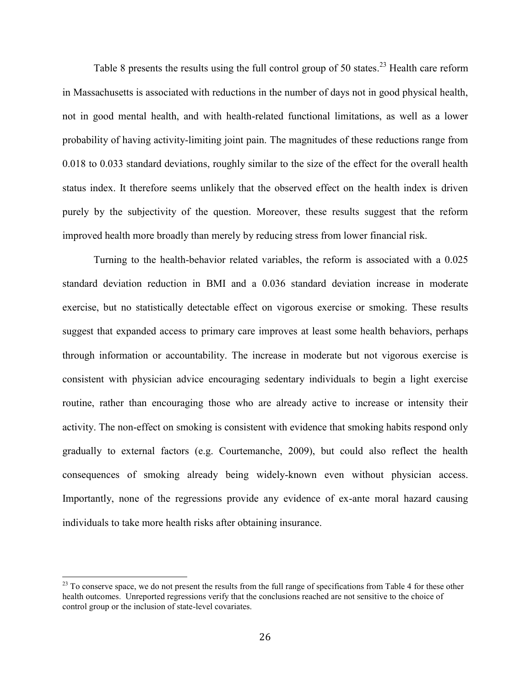Table 8 presents the results using the full control group of 50 states.<sup>23</sup> Health care reform in Massachusetts is associated with reductions in the number of days not in good physical health, not in good mental health, and with health-related functional limitations, as well as a lower probability of having activity-limiting joint pain. The magnitudes of these reductions range from 0.018 to 0.033 standard deviations, roughly similar to the size of the effect for the overall health status index. It therefore seems unlikely that the observed effect on the health index is driven purely by the subjectivity of the question. Moreover, these results suggest that the reform improved health more broadly than merely by reducing stress from lower financial risk.

Turning to the health-behavior related variables, the reform is associated with a 0.025 standard deviation reduction in BMI and a 0.036 standard deviation increase in moderate exercise, but no statistically detectable effect on vigorous exercise or smoking. These results suggest that expanded access to primary care improves at least some health behaviors, perhaps through information or accountability. The increase in moderate but not vigorous exercise is consistent with physician advice encouraging sedentary individuals to begin a light exercise routine, rather than encouraging those who are already active to increase or intensity their activity. The non-effect on smoking is consistent with evidence that smoking habits respond only gradually to external factors (e.g. Courtemanche, 2009), but could also reflect the health consequences of smoking already being widely-known even without physician access. Importantly, none of the regressions provide any evidence of ex-ante moral hazard causing individuals to take more health risks after obtaining insurance.

 $23$  To conserve space, we do not present the results from the full range of specifications from Table 4 for these other health outcomes. Unreported regressions verify that the conclusions reached are not sensitive to the choice of control group or the inclusion of state-level covariates.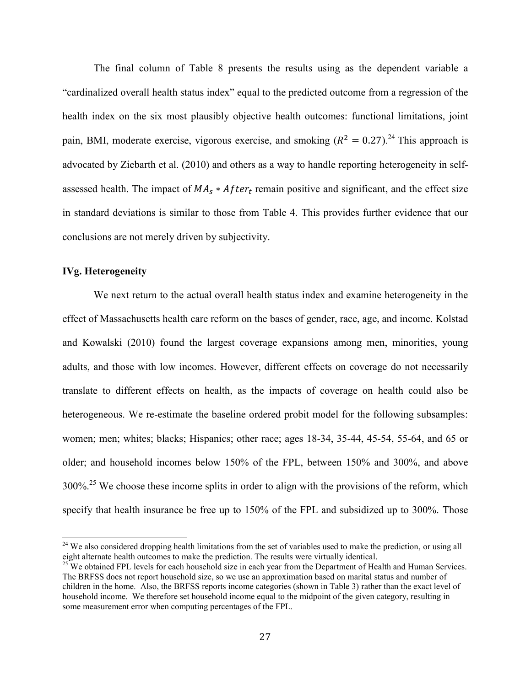The final column of Table 8 presents the results using as the dependent variable a "cardinalized overall health status index" equal to the predicted outcome from a regression of the health index on the six most plausibly objective health outcomes: functional limitations, joint pain, BMI, moderate exercise, vigorous exercise, and smoking  $(R^2 = 0.27)$ .<sup>24</sup> This approach is advocated by Ziebarth et al. (2010) and others as a way to handle reporting heterogeneity in selfassessed health. The impact of  $MA<sub>s</sub> * After<sub>t</sub>$  remain positive and significant, and the effect size in standard deviations is similar to those from Table 4. This provides further evidence that our conclusions are not merely driven by subjectivity.

#### **IVg. Heterogeneity**

 $\overline{a}$ 

 We next return to the actual overall health status index and examine heterogeneity in the effect of Massachusetts health care reform on the bases of gender, race, age, and income. Kolstad and Kowalski (2010) found the largest coverage expansions among men, minorities, young adults, and those with low incomes. However, different effects on coverage do not necessarily translate to different effects on health, as the impacts of coverage on health could also be heterogeneous. We re-estimate the baseline ordered probit model for the following subsamples: women; men; whites; blacks; Hispanics; other race; ages 18-34, 35-44, 45-54, 55-64, and 65 or older; and household incomes below 150% of the FPL, between 150% and 300%, and above 300%<sup>25</sup>. We choose these income splits in order to align with the provisions of the reform, which specify that health insurance be free up to 150% of the FPL and subsidized up to 300%. Those

<sup>&</sup>lt;sup>24</sup> We also considered dropping health limitations from the set of variables used to make the prediction, or using all eight alternate health outcomes to make the prediction. The results were virtually identical.

<sup>&</sup>lt;sup>25</sup> We obtained FPL levels for each household size in each year from the Department of Health and Human Services. The BRFSS does not report household size, so we use an approximation based on marital status and number of children in the home. Also, the BRFSS reports income categories (shown in Table 3) rather than the exact level of household income. We therefore set household income equal to the midpoint of the given category, resulting in some measurement error when computing percentages of the FPL.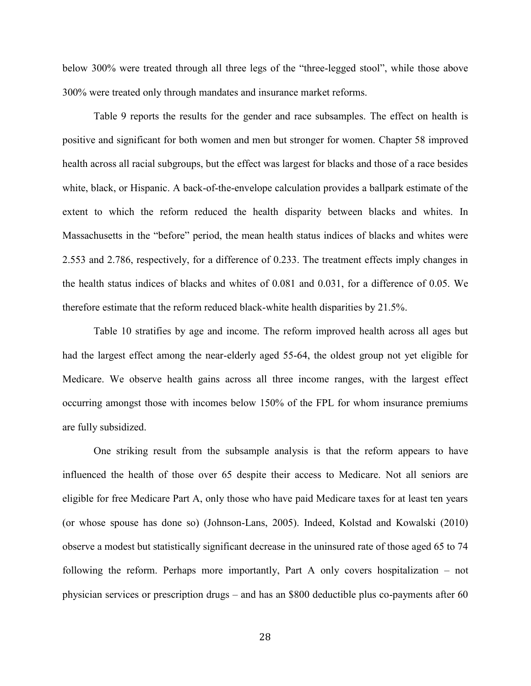below 300% were treated through all three legs of the "three-legged stool", while those above 300% were treated only through mandates and insurance market reforms.

 Table 9 reports the results for the gender and race subsamples. The effect on health is positive and significant for both women and men but stronger for women. Chapter 58 improved health across all racial subgroups, but the effect was largest for blacks and those of a race besides white, black, or Hispanic. A back-of-the-envelope calculation provides a ballpark estimate of the extent to which the reform reduced the health disparity between blacks and whites. In Massachusetts in the "before" period, the mean health status indices of blacks and whites were 2.553 and 2.786, respectively, for a difference of 0.233. The treatment effects imply changes in the health status indices of blacks and whites of 0.081 and 0.031, for a difference of 0.05. We therefore estimate that the reform reduced black-white health disparities by 21.5%.

 Table 10 stratifies by age and income. The reform improved health across all ages but had the largest effect among the near-elderly aged 55-64, the oldest group not yet eligible for Medicare. We observe health gains across all three income ranges, with the largest effect occurring amongst those with incomes below 150% of the FPL for whom insurance premiums are fully subsidized.

 One striking result from the subsample analysis is that the reform appears to have influenced the health of those over 65 despite their access to Medicare. Not all seniors are eligible for free Medicare Part A, only those who have paid Medicare taxes for at least ten years (or whose spouse has done so) (Johnson-Lans, 2005). Indeed, Kolstad and Kowalski (2010) observe a modest but statistically significant decrease in the uninsured rate of those aged 65 to 74 following the reform. Perhaps more importantly, Part A only covers hospitalization – not physician services or prescription drugs – and has an \$800 deductible plus co-payments after 60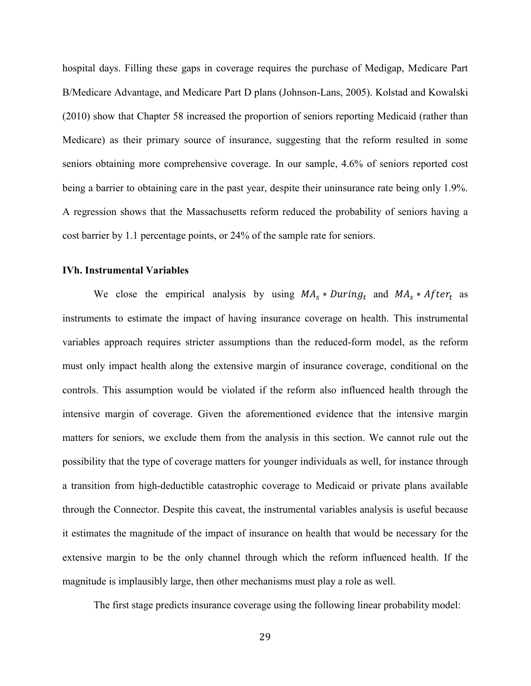hospital days. Filling these gaps in coverage requires the purchase of Medigap, Medicare Part B/Medicare Advantage, and Medicare Part D plans (Johnson-Lans, 2005). Kolstad and Kowalski (2010) show that Chapter 58 increased the proportion of seniors reporting Medicaid (rather than Medicare) as their primary source of insurance, suggesting that the reform resulted in some seniors obtaining more comprehensive coverage. In our sample, 4.6% of seniors reported cost being a barrier to obtaining care in the past year, despite their uninsurance rate being only 1.9%. A regression shows that the Massachusetts reform reduced the probability of seniors having a cost barrier by 1.1 percentage points, or 24% of the sample rate for seniors.

#### **IVh. Instrumental Variables**

We close the empirical analysis by using  $MA_s * During_t$  and  $MA_s * After_t$  as instruments to estimate the impact of having insurance coverage on health. This instrumental variables approach requires stricter assumptions than the reduced-form model, as the reform must only impact health along the extensive margin of insurance coverage, conditional on the controls. This assumption would be violated if the reform also influenced health through the intensive margin of coverage. Given the aforementioned evidence that the intensive margin matters for seniors, we exclude them from the analysis in this section. We cannot rule out the possibility that the type of coverage matters for younger individuals as well, for instance through a transition from high-deductible catastrophic coverage to Medicaid or private plans available through the Connector. Despite this caveat, the instrumental variables analysis is useful because it estimates the magnitude of the impact of insurance on health that would be necessary for the extensive margin to be the only channel through which the reform influenced health. If the magnitude is implausibly large, then other mechanisms must play a role as well.

The first stage predicts insurance coverage using the following linear probability model: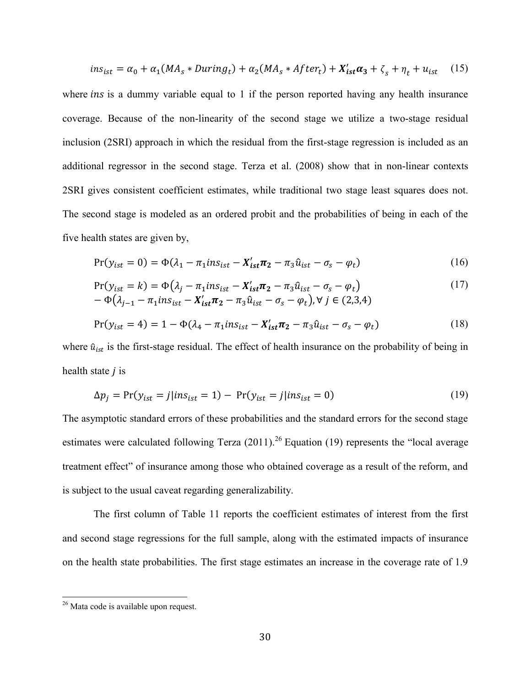$$
ins_{ist} = \alpha_0 + \alpha_1 (MA_s * During_t) + \alpha_2 (MA_s * After_t) + X'_{ist} \alpha_3 + \zeta_s + \eta_t + u_{ist} \quad (15)
$$

where *ins* is a dummy variable equal to 1 if the person reported having any health insurance coverage. Because of the non-linearity of the second stage we utilize a two-stage residual inclusion (2SRI) approach in which the residual from the first-stage regression is included as an additional regressor in the second stage. Terza et al. (2008) show that in non-linear contexts 2SRI gives consistent coefficient estimates, while traditional two stage least squares does not. The second stage is modeled as an ordered probit and the probabilities of being in each of the five health states are given by,

$$
Pr(y_{ist} = 0) = \Phi(\lambda_1 - \pi_1 ins_{ist} - X'_{ist}\pi_2 - \pi_3 \hat{u}_{ist} - \sigma_s - \varphi_t)
$$
\n(16)

$$
Pr(y_{ist} = k) = \Phi(\lambda_j - \pi_1 ins_{ist} - X'_{ist}\pi_2 - \pi_3 \hat{u}_{ist} - \sigma_s - \varphi_t)
$$
  
- 
$$
\Phi(\lambda_{j-1} - \pi_1 ins_{ist} - X'_{ist}\pi_2 - \pi_3 \hat{u}_{ist} - \sigma_s - \varphi_t), \forall j \in (2,3,4)
$$
 (17)

$$
Pr(y_{ist} = 4) = 1 - \Phi(\lambda_4 - \pi_1 ins_{ist} - X'_{ist}\pi_2 - \pi_3 \hat{u}_{ist} - \sigma_s - \varphi_t)
$$
(18)

where  $\hat{u}_{ist}$  is the first-stage residual. The effect of health insurance on the probability of being in health state  $j$  is

$$
\Delta p_j = \Pr(y_{ist} = j | ins_{ist} = 1) - \Pr(y_{ist} = j | ins_{ist} = 0)
$$
\n(19)

The asymptotic standard errors of these probabilities and the standard errors for the second stage estimates were calculated following Terza  $(2011)$ <sup>26</sup> Equation (19) represents the "local average treatment effect" of insurance among those who obtained coverage as a result of the reform, and is subject to the usual caveat regarding generalizability.

 The first column of Table 11 reports the coefficient estimates of interest from the first and second stage regressions for the full sample, along with the estimated impacts of insurance on the health state probabilities. The first stage estimates an increase in the coverage rate of 1.9

<sup>&</sup>lt;sup>26</sup> Mata code is available upon request.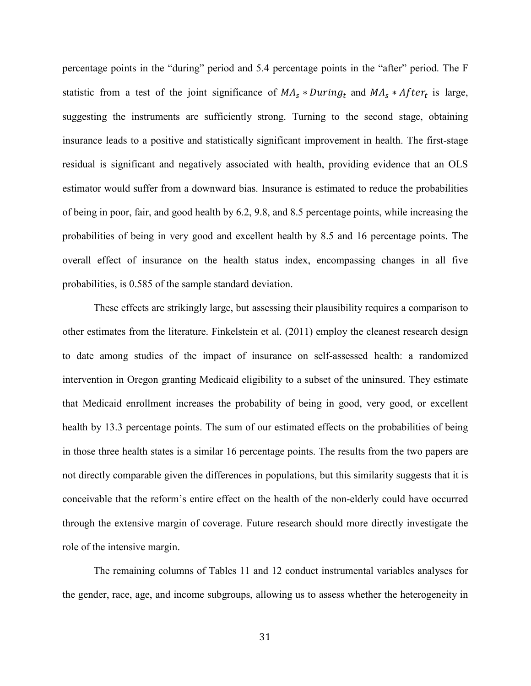percentage points in the "during" period and 5.4 percentage points in the "after" period. The F statistic from a test of the joint significance of  $MA_s * During_t$  and  $MA_s * After_t$  is large, suggesting the instruments are sufficiently strong. Turning to the second stage, obtaining insurance leads to a positive and statistically significant improvement in health. The first-stage residual is significant and negatively associated with health, providing evidence that an OLS estimator would suffer from a downward bias. Insurance is estimated to reduce the probabilities of being in poor, fair, and good health by 6.2, 9.8, and 8.5 percentage points, while increasing the probabilities of being in very good and excellent health by 8.5 and 16 percentage points. The overall effect of insurance on the health status index, encompassing changes in all five probabilities, is 0.585 of the sample standard deviation.

 These effects are strikingly large, but assessing their plausibility requires a comparison to other estimates from the literature. Finkelstein et al. (2011) employ the cleanest research design to date among studies of the impact of insurance on self-assessed health: a randomized intervention in Oregon granting Medicaid eligibility to a subset of the uninsured. They estimate that Medicaid enrollment increases the probability of being in good, very good, or excellent health by 13.3 percentage points. The sum of our estimated effects on the probabilities of being in those three health states is a similar 16 percentage points. The results from the two papers are not directly comparable given the differences in populations, but this similarity suggests that it is conceivable that the reform's entire effect on the health of the non-elderly could have occurred through the extensive margin of coverage. Future research should more directly investigate the role of the intensive margin.

The remaining columns of Tables 11 and 12 conduct instrumental variables analyses for the gender, race, age, and income subgroups, allowing us to assess whether the heterogeneity in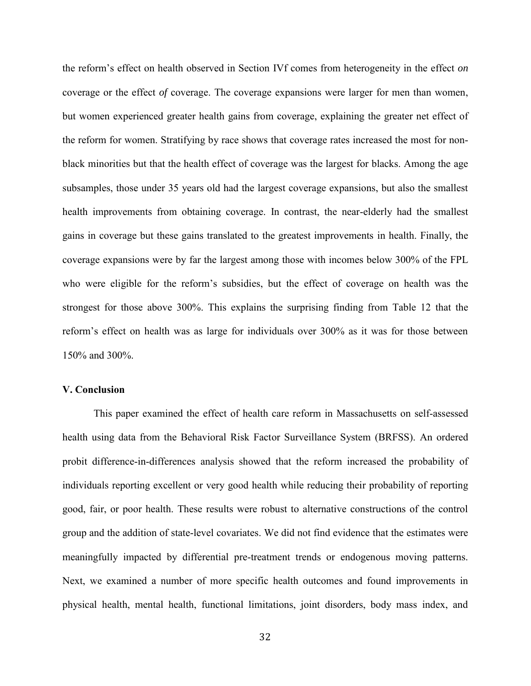the reform's effect on health observed in Section IVf comes from heterogeneity in the effect *on* coverage or the effect *of* coverage. The coverage expansions were larger for men than women, but women experienced greater health gains from coverage, explaining the greater net effect of the reform for women. Stratifying by race shows that coverage rates increased the most for nonblack minorities but that the health effect of coverage was the largest for blacks. Among the age subsamples, those under 35 years old had the largest coverage expansions, but also the smallest health improvements from obtaining coverage. In contrast, the near-elderly had the smallest gains in coverage but these gains translated to the greatest improvements in health. Finally, the coverage expansions were by far the largest among those with incomes below 300% of the FPL who were eligible for the reform's subsidies, but the effect of coverage on health was the strongest for those above 300%. This explains the surprising finding from Table 12 that the reform's effect on health was as large for individuals over 300% as it was for those between 150% and 300%.

#### **V. Conclusion**

This paper examined the effect of health care reform in Massachusetts on self-assessed health using data from the Behavioral Risk Factor Surveillance System (BRFSS). An ordered probit difference-in-differences analysis showed that the reform increased the probability of individuals reporting excellent or very good health while reducing their probability of reporting good, fair, or poor health. These results were robust to alternative constructions of the control group and the addition of state-level covariates. We did not find evidence that the estimates were meaningfully impacted by differential pre-treatment trends or endogenous moving patterns. Next, we examined a number of more specific health outcomes and found improvements in physical health, mental health, functional limitations, joint disorders, body mass index, and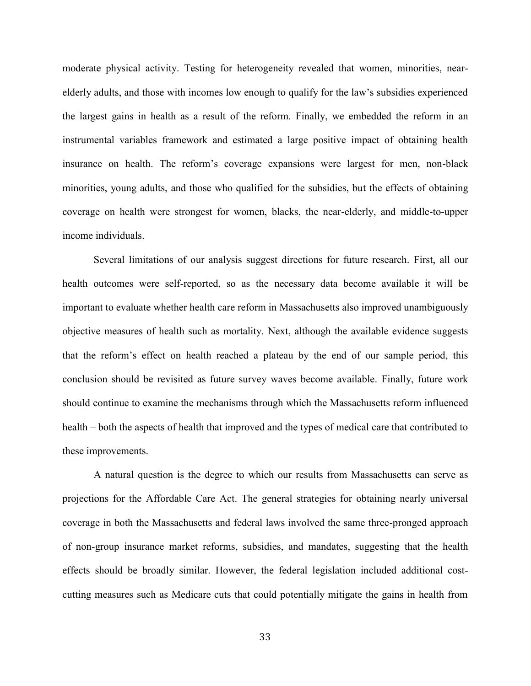moderate physical activity. Testing for heterogeneity revealed that women, minorities, nearelderly adults, and those with incomes low enough to qualify for the law's subsidies experienced the largest gains in health as a result of the reform. Finally, we embedded the reform in an instrumental variables framework and estimated a large positive impact of obtaining health insurance on health. The reform's coverage expansions were largest for men, non-black minorities, young adults, and those who qualified for the subsidies, but the effects of obtaining coverage on health were strongest for women, blacks, the near-elderly, and middle-to-upper income individuals.

Several limitations of our analysis suggest directions for future research. First, all our health outcomes were self-reported, so as the necessary data become available it will be important to evaluate whether health care reform in Massachusetts also improved unambiguously objective measures of health such as mortality. Next, although the available evidence suggests that the reform's effect on health reached a plateau by the end of our sample period, this conclusion should be revisited as future survey waves become available. Finally, future work should continue to examine the mechanisms through which the Massachusetts reform influenced health – both the aspects of health that improved and the types of medical care that contributed to these improvements.

A natural question is the degree to which our results from Massachusetts can serve as projections for the Affordable Care Act. The general strategies for obtaining nearly universal coverage in both the Massachusetts and federal laws involved the same three-pronged approach of non-group insurance market reforms, subsidies, and mandates, suggesting that the health effects should be broadly similar. However, the federal legislation included additional costcutting measures such as Medicare cuts that could potentially mitigate the gains in health from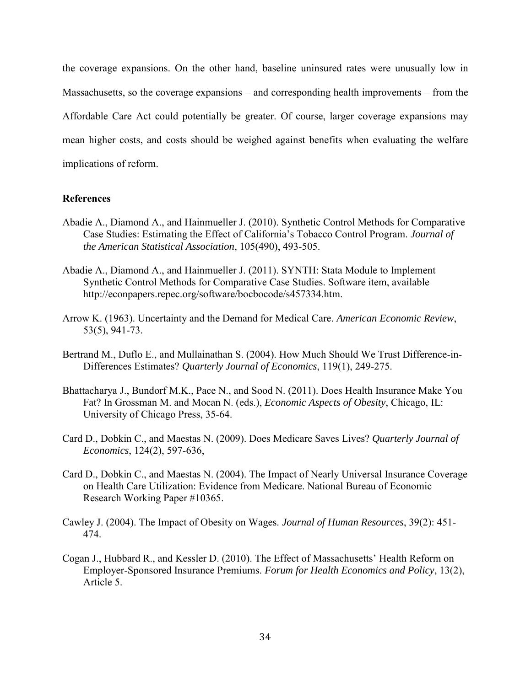the coverage expansions. On the other hand, baseline uninsured rates were unusually low in Massachusetts, so the coverage expansions – and corresponding health improvements – from the Affordable Care Act could potentially be greater. Of course, larger coverage expansions may mean higher costs, and costs should be weighed against benefits when evaluating the welfare implications of reform.

#### **References**

- Abadie A., Diamond A., and Hainmueller J. (2010). Synthetic Control Methods for Comparative Case Studies: Estimating the Effect of California's Tobacco Control Program. *Journal of the American Statistical Association*, 105(490), 493-505.
- Abadie A., Diamond A., and Hainmueller J. (2011). SYNTH: Stata Module to Implement Synthetic Control Methods for Comparative Case Studies. Software item, available http://econpapers.repec.org/software/bocbocode/s457334.htm.
- Arrow K. (1963). Uncertainty and the Demand for Medical Care. *American Economic Review*, 53(5), 941-73.
- Bertrand M., Duflo E., and Mullainathan S. (2004). How Much Should We Trust Difference-in-Differences Estimates? *Quarterly Journal of Economics*, 119(1), 249-275.
- Bhattacharya J., Bundorf M.K., Pace N., and Sood N. (2011). Does Health Insurance Make You Fat? In Grossman M. and Mocan N. (eds.), *Economic Aspects of Obesity*, Chicago, IL: University of Chicago Press, 35-64.
- Card D., Dobkin C., and Maestas N. (2009). Does Medicare Saves Lives? *Quarterly Journal of Economics*, 124(2), 597-636,
- Card D., Dobkin C., and Maestas N. (2004). The Impact of Nearly Universal Insurance Coverage on Health Care Utilization: Evidence from Medicare. National Bureau of Economic Research Working Paper #10365.
- Cawley J. (2004). The Impact of Obesity on Wages. *Journal of Human Resources*, 39(2): 451- 474.
- Cogan J., Hubbard R., and Kessler D. (2010). The Effect of Massachusetts' Health Reform on Employer-Sponsored Insurance Premiums. *Forum for Health Economics and Policy*, 13(2), Article 5.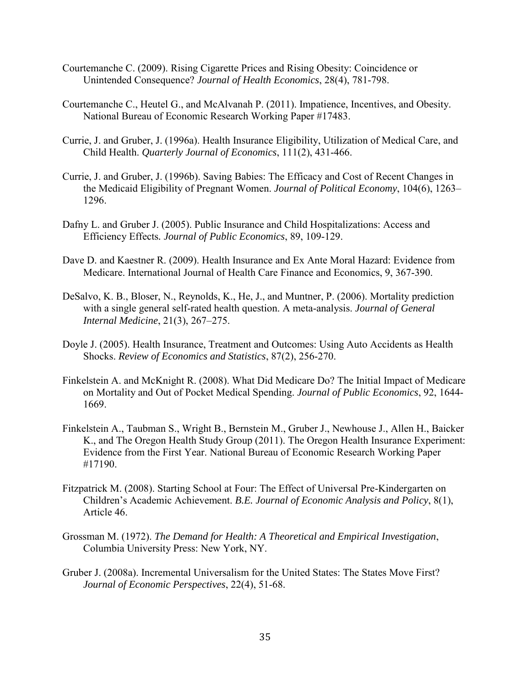- Courtemanche C. (2009). Rising Cigarette Prices and Rising Obesity: Coincidence or Unintended Consequence? *Journal of Health Economics*, 28(4), 781-798.
- Courtemanche C., Heutel G., and McAlvanah P. (2011). Impatience, Incentives, and Obesity. National Bureau of Economic Research Working Paper #17483.
- Currie, J. and Gruber, J. (1996a). Health Insurance Eligibility, Utilization of Medical Care, and Child Health. *Quarterly Journal of Economics*, 111(2), 431-466.
- Currie, J. and Gruber, J. (1996b). Saving Babies: The Efficacy and Cost of Recent Changes in the Medicaid Eligibility of Pregnant Women. *Journal of Political Economy*, 104(6), 1263– 1296.
- Dafny L. and Gruber J. (2005). Public Insurance and Child Hospitalizations: Access and Efficiency Effects*. Journal of Public Economics*, 89, 109-129.
- Dave D. and Kaestner R. (2009). Health Insurance and Ex Ante Moral Hazard: Evidence from Medicare. International Journal of Health Care Finance and Economics, 9, 367-390.
- DeSalvo, K. B., Bloser, N., Reynolds, K., He, J., and Muntner, P. (2006). Mortality prediction with a single general self-rated health question. A meta-analysis. *Journal of General Internal Medicine*, 21(3), 267–275.
- Doyle J. (2005). Health Insurance, Treatment and Outcomes: Using Auto Accidents as Health Shocks. *Review of Economics and Statistics*, 87(2), 256-270.
- Finkelstein A. and McKnight R. (2008). What Did Medicare Do? The Initial Impact of Medicare on Mortality and Out of Pocket Medical Spending. *Journal of Public Economics*, 92, 1644- 1669.
- Finkelstein A., Taubman S., Wright B., Bernstein M., Gruber J., Newhouse J., Allen H., Baicker K., and The Oregon Health Study Group (2011). The Oregon Health Insurance Experiment: Evidence from the First Year. National Bureau of Economic Research Working Paper #17190.
- Fitzpatrick M. (2008). Starting School at Four: The Effect of Universal Pre-Kindergarten on Children's Academic Achievement. *B.E. Journal of Economic Analysis and Policy*, 8(1), Article 46.
- Grossman M. (1972). *The Demand for Health: A Theoretical and Empirical Investigation*, Columbia University Press: New York, NY.
- Gruber J. (2008a). Incremental Universalism for the United States: The States Move First? *Journal of Economic Perspectives*, 22(4), 51-68.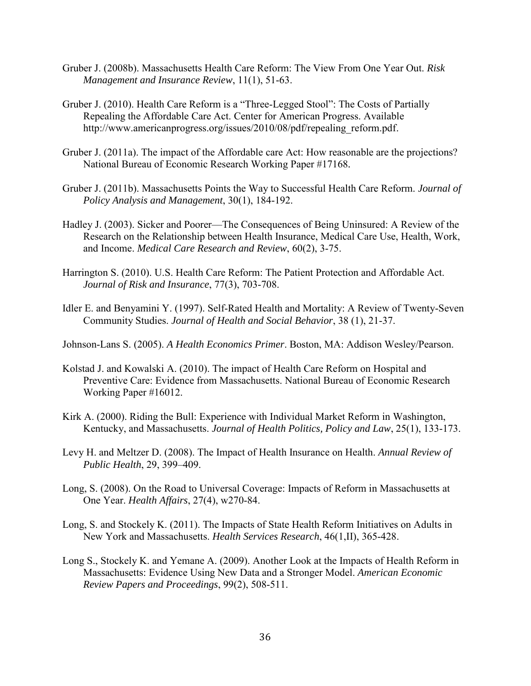- Gruber J. (2008b). Massachusetts Health Care Reform: The View From One Year Out. *Risk Management and Insurance Review*, 11(1), 51-63.
- Gruber J. (2010). Health Care Reform is a "Three-Legged Stool": The Costs of Partially Repealing the Affordable Care Act. Center for American Progress. Available http://www.americanprogress.org/issues/2010/08/pdf/repealing\_reform.pdf.
- Gruber J. (2011a). The impact of the Affordable care Act: How reasonable are the projections? National Bureau of Economic Research Working Paper #17168*.*
- Gruber J. (2011b). Massachusetts Points the Way to Successful Health Care Reform. *Journal of Policy Analysis and Management*, 30(1), 184-192.
- Hadley J. (2003). Sicker and Poorer—The Consequences of Being Uninsured: A Review of the Research on the Relationship between Health Insurance, Medical Care Use, Health, Work, and Income. *Medical Care Research and Review*, 60(2), 3-75.
- Harrington S. (2010). U.S. Health Care Reform: The Patient Protection and Affordable Act. *Journal of Risk and Insurance*, 77(3), 703-708.
- Idler E. and Benyamini Y. (1997). Self-Rated Health and Mortality: A Review of Twenty-Seven Community Studies. *Journal of Health and Social Behavior*, 38 (1), 21-37.

Johnson-Lans S. (2005). *A Health Economics Primer*. Boston, MA: Addison Wesley/Pearson.

- Kolstad J. and Kowalski A. (2010). The impact of Health Care Reform on Hospital and Preventive Care: Evidence from Massachusetts. National Bureau of Economic Research Working Paper #16012.
- Kirk A. (2000). Riding the Bull: Experience with Individual Market Reform in Washington, Kentucky, and Massachusetts. *Journal of Health Politics, Policy and Law*, 25(1), 133-173.
- Levy H. and Meltzer D. (2008). The Impact of Health Insurance on Health. *Annual Review of Public Health*, 29, 399–409.
- Long, S. (2008). On the Road to Universal Coverage: Impacts of Reform in Massachusetts at One Year. *Health Affairs*, 27(4), w270-84.
- Long, S. and Stockely K. (2011). The Impacts of State Health Reform Initiatives on Adults in New York and Massachusetts. *Health Services Research*, 46(1,II), 365-428.
- Long S., Stockely K. and Yemane A. (2009). Another Look at the Impacts of Health Reform in Massachusetts: Evidence Using New Data and a Stronger Model. *American Economic Review Papers and Proceedings*, 99(2), 508-511.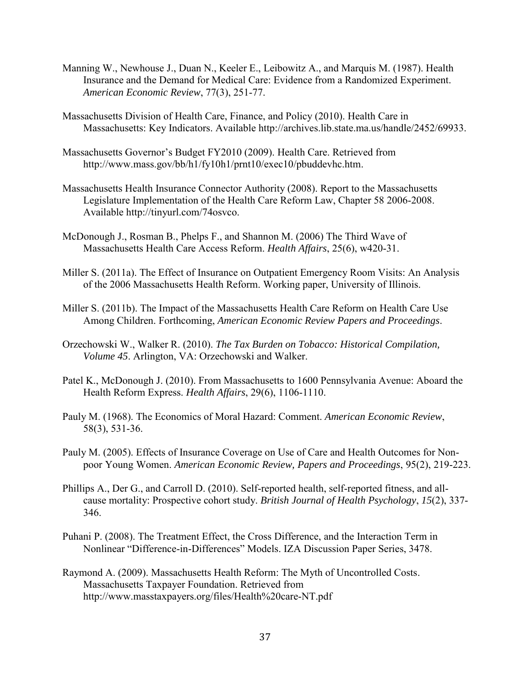- Manning W., Newhouse J., Duan N., Keeler E., Leibowitz A., and Marquis M. (1987). Health Insurance and the Demand for Medical Care: Evidence from a Randomized Experiment. *American Economic Review*, 77(3), 251-77.
- Massachusetts Division of Health Care, Finance, and Policy (2010). Health Care in Massachusetts: Key Indicators. Available http://archives.lib.state.ma.us/handle/2452/69933.
- Massachusetts Governor's Budget FY2010 (2009). Health Care. Retrieved from http://www.mass.gov/bb/h1/fy10h1/prnt10/exec10/pbuddevhc.htm.
- Massachusetts Health Insurance Connector Authority (2008). Report to the Massachusetts Legislature Implementation of the Health Care Reform Law, Chapter 58 2006-2008. Available http://tinyurl.com/74osvco.
- McDonough J., Rosman B., Phelps F., and Shannon M. (2006) The Third Wave of Massachusetts Health Care Access Reform. *Health Affairs*, 25(6), w420-31.
- Miller S. (2011a). The Effect of Insurance on Outpatient Emergency Room Visits: An Analysis of the 2006 Massachusetts Health Reform. Working paper, University of Illinois.
- Miller S. (2011b). The Impact of the Massachusetts Health Care Reform on Health Care Use Among Children. Forthcoming, *American Economic Review Papers and Proceedings*.
- Orzechowski W., Walker R. (2010). *The Tax Burden on Tobacco: Historical Compilation, Volume 45*. Arlington, VA: Orzechowski and Walker.
- Patel K., McDonough J. (2010). From Massachusetts to 1600 Pennsylvania Avenue: Aboard the Health Reform Express. *Health Affairs*, 29(6), 1106-1110.
- Pauly M. (1968). The Economics of Moral Hazard: Comment. *American Economic Review*, 58(3), 531-36.
- Pauly M. (2005). Effects of Insurance Coverage on Use of Care and Health Outcomes for Nonpoor Young Women. *American Economic Review, Papers and Proceedings*, 95(2), 219-223.
- Phillips A., Der G., and Carroll D. (2010). Self-reported health, self-reported fitness, and allcause mortality: Prospective cohort study. *British Journal of Health Psychology*, *15*(2), 337- 346.
- Puhani P. (2008). The Treatment Effect, the Cross Difference, and the Interaction Term in Nonlinear "Difference-in-Differences" Models. IZA Discussion Paper Series, 3478.
- Raymond A. (2009). Massachusetts Health Reform: The Myth of Uncontrolled Costs. Massachusetts Taxpayer Foundation. Retrieved from http://www.masstaxpayers.org/files/Health%20care-NT.pdf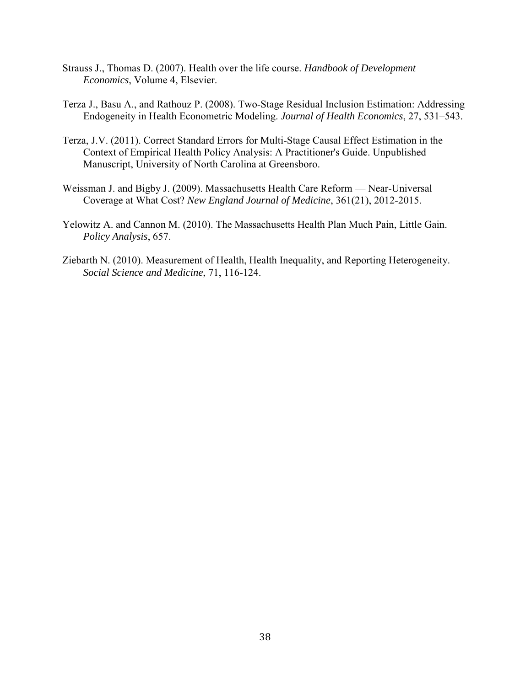- Strauss J., Thomas D. (2007). Health over the life course. *Handbook of Development Economics*, Volume 4, Elsevier.
- Terza J., Basu A., and Rathouz P. (2008). Two-Stage Residual Inclusion Estimation: Addressing Endogeneity in Health Econometric Modeling. *Journal of Health Economics*, 27, 531–543.
- Terza, J.V. (2011). Correct Standard Errors for Multi-Stage Causal Effect Estimation in the Context of Empirical Health Policy Analysis: A Practitioner's Guide. Unpublished Manuscript, University of North Carolina at Greensboro.
- Weissman J. and Bigby J. (2009). Massachusetts Health Care Reform Near-Universal Coverage at What Cost? *New England Journal of Medicine*, 361(21), 2012-2015.
- Yelowitz A. and Cannon M. (2010). The Massachusetts Health Plan Much Pain, Little Gain. *Policy Analysis*, 657.
- Ziebarth N. (2010). Measurement of Health, Health Inequality, and Reporting Heterogeneity. *Social Science and Medicine*, 71, 116-124.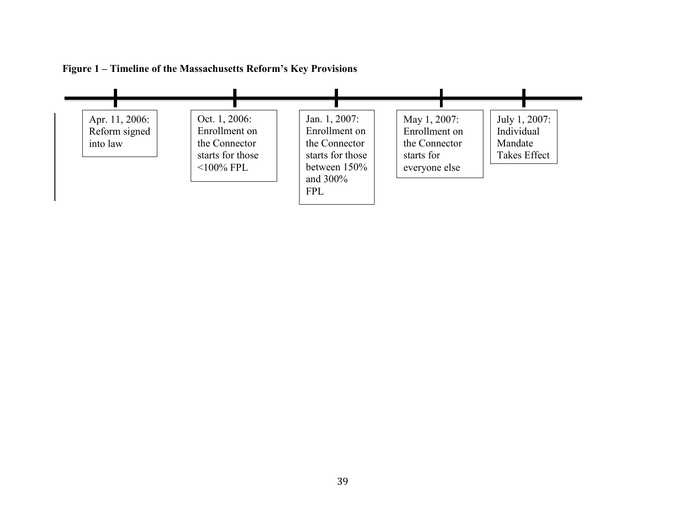

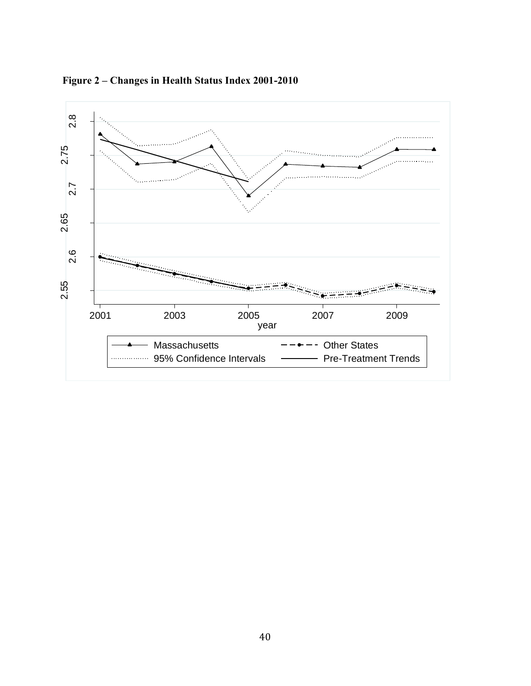

**Figure 2 – Changes in Health Status Index 2001-2010**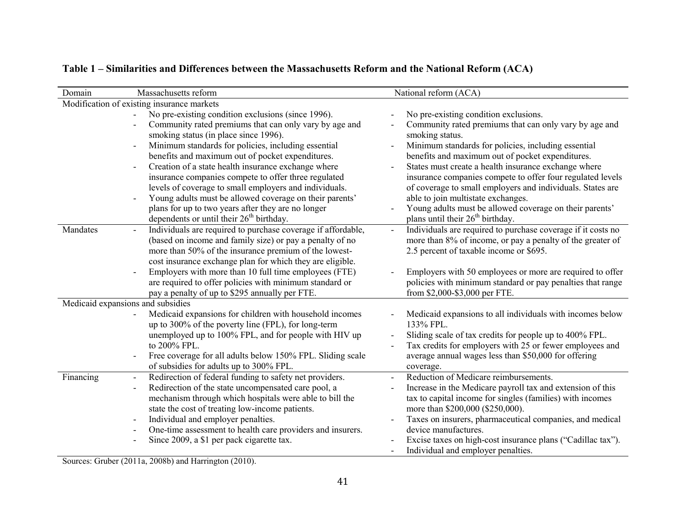| Domain                            | Massachusetts reform                                               | National reform (ACA)                                        |
|-----------------------------------|--------------------------------------------------------------------|--------------------------------------------------------------|
|                                   | Modification of existing insurance markets                         |                                                              |
|                                   | No pre-existing condition exclusions (since 1996).<br>$\mathbf{r}$ | No pre-existing condition exclusions.                        |
|                                   | Community rated premiums that can only vary by age and             | Community rated premiums that can only vary by age and       |
|                                   | smoking status (in place since 1996).                              | smoking status.                                              |
|                                   | Minimum standards for policies, including essential                | Minimum standards for policies, including essential          |
|                                   | benefits and maximum out of pocket expenditures.                   | benefits and maximum out of pocket expenditures.             |
|                                   | Creation of a state health insurance exchange where                | States must create a health insurance exchange where         |
|                                   | insurance companies compete to offer three regulated               | insurance companies compete to offer four regulated levels   |
|                                   | levels of coverage to small employers and individuals.             | of coverage to small employers and individuals. States are   |
|                                   | Young adults must be allowed coverage on their parents'            | able to join multistate exchanges.                           |
|                                   | plans for up to two years after they are no longer                 | Young adults must be allowed coverage on their parents'      |
|                                   | dependents or until their 26 <sup>th</sup> birthday.               | plans until their 26 <sup>th</sup> birthday.                 |
| Mandates                          | Individuals are required to purchase coverage if affordable,       | Individuals are required to purchase coverage if it costs no |
|                                   | (based on income and family size) or pay a penalty of no           | more than 8% of income, or pay a penalty of the greater of   |
|                                   | more than 50% of the insurance premium of the lowest-              | 2.5 percent of taxable income or \$695.                      |
|                                   | cost insurance exchange plan for which they are eligible.          |                                                              |
|                                   | Employers with more than 10 full time employees (FTE)              | Employers with 50 employees or more are required to offer    |
|                                   | are required to offer policies with minimum standard or            | policies with minimum standard or pay penalties that range   |
|                                   | pay a penalty of up to \$295 annually per FTE.                     | from \$2,000-\$3,000 per FTE.                                |
| Medicaid expansions and subsidies |                                                                    |                                                              |
|                                   | Medicaid expansions for children with household incomes            | Medicaid expansions to all individuals with incomes below    |
|                                   | up to 300% of the poverty line (FPL), for long-term                | 133% FPL.                                                    |
|                                   | unemployed up to 100% FPL, and for people with HIV up              | Sliding scale of tax credits for people up to 400% FPL.      |
|                                   | to 200% FPL.                                                       | Tax credits for employers with 25 or fewer employees and     |
|                                   | Free coverage for all adults below 150% FPL. Sliding scale         | average annual wages less than \$50,000 for offering         |
|                                   | of subsidies for adults up to 300% FPL.                            | coverage.                                                    |
| Financing                         | Redirection of federal funding to safety net providers.            | Reduction of Medicare reimbursements.                        |
|                                   | Redirection of the state uncompensated care pool, a                | Increase in the Medicare payroll tax and extension of this   |
|                                   | mechanism through which hospitals were able to bill the            | tax to capital income for singles (families) with incomes    |
|                                   | state the cost of treating low-income patients.                    | more than \$200,000 (\$250,000).                             |
|                                   | Individual and employer penalties.                                 | Taxes on insurers, pharmaceutical companies, and medical     |
|                                   | One-time assessment to health care providers and insurers.         | device manufactures.                                         |
|                                   | Since 2009, a \$1 per pack cigarette tax.                          | Excise taxes on high-cost insurance plans ("Cadillac tax").  |
|                                   |                                                                    | Individual and employer penalties.                           |

# **Table 1 – Similarities and Differences between the Massachusetts Reform and the National Reform (ACA)**

Sources: Gruber (2011a, 2008b) and Harrington (2010).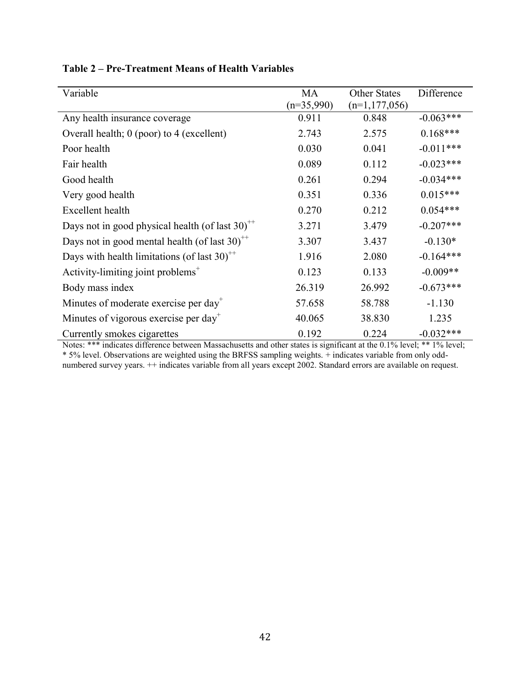| Variable                                                                 | MA           | <b>Other States</b> | Difference  |
|--------------------------------------------------------------------------|--------------|---------------------|-------------|
|                                                                          | $(n=35,990)$ | $(n=1,177,056)$     |             |
| Any health insurance coverage                                            | 0.911        | 0.848               | $-0.063***$ |
| Overall health; 0 (poor) to 4 (excellent)                                | 2.743        | 2.575               | $0.168***$  |
| Poor health                                                              | 0.030        | 0.041               | $-0.011***$ |
| Fair health                                                              | 0.089        | 0.112               | $-0.023***$ |
| Good health                                                              | 0.261        | 0.294               | $-0.034***$ |
| Very good health                                                         | 0.351        | 0.336               | $0.015***$  |
| Excellent health                                                         | 0.270        | 0.212               | $0.054***$  |
| Days not in good physical health (of last $30$ ) <sup>++</sup>           | 3.271        | 3.479               | $-0.207***$ |
| Days not in good mental health (of last $30$ ) <sup><math>+</math></sup> | 3.307        | 3.437               | $-0.130*$   |
| Days with health limitations (of last $30$ <sup>++</sup>                 | 1.916        | 2.080               | $-0.164***$ |
| Activity-limiting joint problems <sup>+</sup>                            | 0.123        | 0.133               | $-0.009**$  |
| Body mass index                                                          | 26.319       | 26.992              | $-0.673***$ |
| Minutes of moderate exercise per day <sup>+</sup>                        | 57.658       | 58.788              | $-1.130$    |
| Minutes of vigorous exercise per day <sup>+</sup>                        | 40.065       | 38.830              | 1.235       |
| Currently smokes cigarettes                                              | 0.192        | 0.224               | $-0.032***$ |

# **Table 2 – Pre-Treatment Means of Health Variables**

Notes: \*\*\* indicates difference between Massachusetts and other states is significant at the 0.1% level; \*\* 1% level; \* 5% level. Observations are weighted using the BRFSS sampling weights. + indicates variable from only oddnumbered survey years.  $++$  indicates variable from all years except 2002. Standard errors are available on request.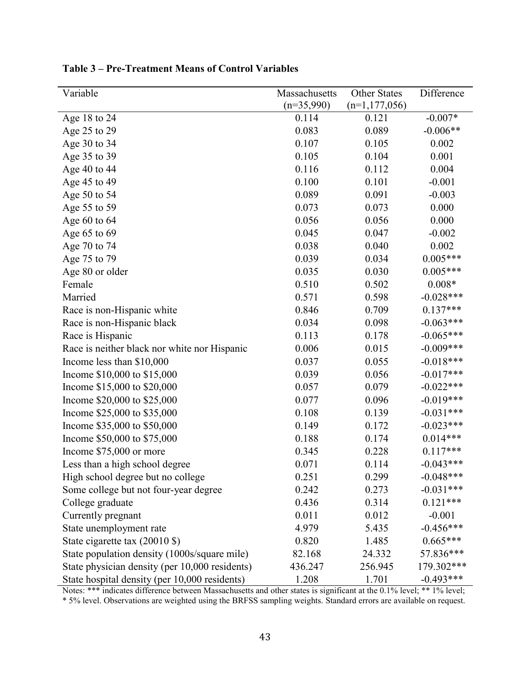| Variable                                       | Massachusetts | Other States      | Difference  |
|------------------------------------------------|---------------|-------------------|-------------|
|                                                | $(n=35,990)$  | $(n=1, 177, 056)$ |             |
| Age 18 to 24                                   | 0.114         | 0.121             | $-0.007*$   |
| Age 25 to 29                                   | 0.083         | 0.089             | $-0.006**$  |
| Age 30 to 34                                   | 0.107         | 0.105             | 0.002       |
| Age 35 to 39                                   | 0.105         | 0.104             | 0.001       |
| Age 40 to 44                                   | 0.116         | 0.112             | 0.004       |
| Age 45 to 49                                   | 0.100         | 0.101             | $-0.001$    |
| Age 50 to 54                                   | 0.089         | 0.091             | $-0.003$    |
| Age 55 to 59                                   | 0.073         | 0.073             | 0.000       |
| Age 60 to 64                                   | 0.056         | 0.056             | 0.000       |
| Age 65 to 69                                   | 0.045         | 0.047             | $-0.002$    |
| Age 70 to 74                                   | 0.038         | 0.040             | 0.002       |
| Age 75 to 79                                   | 0.039         | 0.034             | $0.005***$  |
| Age 80 or older                                | 0.035         | 0.030             | $0.005***$  |
| Female                                         | 0.510         | 0.502             | $0.008*$    |
| Married                                        | 0.571         | 0.598             | $-0.028***$ |
| Race is non-Hispanic white                     | 0.846         | 0.709             | $0.137***$  |
| Race is non-Hispanic black                     | 0.034         | 0.098             | $-0.063***$ |
| Race is Hispanic                               | 0.113         | 0.178             | $-0.065***$ |
| Race is neither black nor white nor Hispanic   | 0.006         | 0.015             | $-0.009***$ |
| Income less than \$10,000                      | 0.037         | 0.055             | $-0.018***$ |
| Income \$10,000 to \$15,000                    | 0.039         | 0.056             | $-0.017***$ |
| Income \$15,000 to \$20,000                    | 0.057         | 0.079             | $-0.022***$ |
| Income \$20,000 to \$25,000                    | 0.077         | 0.096             | $-0.019***$ |
| Income \$25,000 to \$35,000                    | 0.108         | 0.139             | $-0.031***$ |
| Income \$35,000 to \$50,000                    | 0.149         | 0.172             | $-0.023***$ |
| Income \$50,000 to \$75,000                    | 0.188         | 0.174             | $0.014***$  |
| Income \$75,000 or more                        | 0.345         | 0.228             | $0.117***$  |
| Less than a high school degree                 | 0.071         | 0.114             | $-0.043***$ |
| High school degree but no college              | 0.251         | 0.299             | $-0.048***$ |
| Some college but not four-year degree          | 0.242         | 0.273             | $-0.031***$ |
| College graduate                               | 0.436         | 0.314             | $0.121***$  |
| Currently pregnant                             | 0.011         | 0.012             | $-0.001$    |
| State unemployment rate                        | 4.979         | 5.435             | $-0.456***$ |
| State cigarette tax (20010 \$)                 | 0.820         | 1.485             | $0.665***$  |
| State population density (1000s/square mile)   | 82.168        | 24.332            | 57.836***   |
| State physician density (per 10,000 residents) | 436.247       | 256.945           | 179.302***  |
| State hospital density (per 10,000 residents)  | 1.208         | 1.701             | $-0.493***$ |

**Table 3 – Pre-Treatment Means of Control Variables** 

Notes: \*\*\* indicates difference between Massachusetts and other states is significant at the 0.1% level; \*\* 1% level; \* 5% level. Observations are weighted using the BRFSS sampling weights. Standard errors are available on request.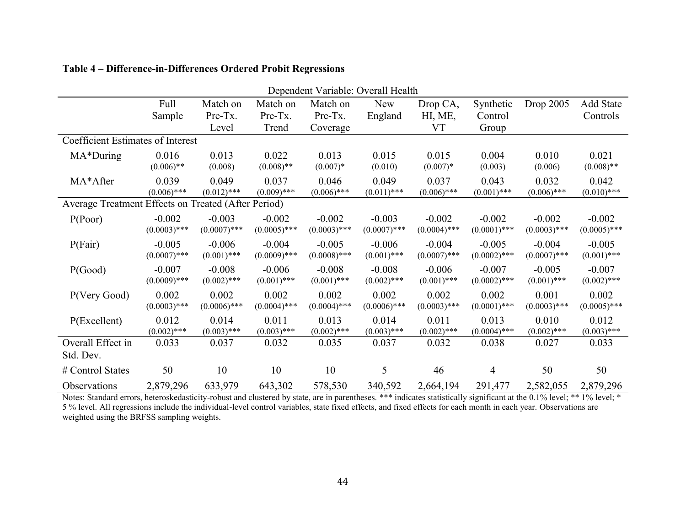| Dependent Variable: Overall Health                  |                |                |                |                |                |                |                |                |                  |
|-----------------------------------------------------|----------------|----------------|----------------|----------------|----------------|----------------|----------------|----------------|------------------|
|                                                     | Full           | Match on       | Match on       | Match on       | New            | Drop CA,       | Synthetic      | Drop 2005      | <b>Add State</b> |
|                                                     | Sample         | Pre-Tx.        | Pre-Tx.        | Pre-Tx.        | England        | HI, ME,        | Control        |                | Controls         |
|                                                     |                | Level          | Trend          | Coverage       |                | <b>VT</b>      | Group          |                |                  |
| Coefficient Estimates of Interest                   |                |                |                |                |                |                |                |                |                  |
| MA*During                                           | 0.016          | 0.013          | 0.022          | 0.013          | 0.015          | 0.015          | 0.004          | 0.010          | 0.021            |
|                                                     | $(0.006)$ **   | (0.008)        | $(0.008)$ **   | $(0.007)*$     | (0.010)        | $(0.007)*$     | (0.003)        | (0.006)        | $(0.008)$ **     |
| MA*After                                            | 0.039          | 0.049          | 0.037          | 0.046          | 0.049          | 0.037          | 0.043          | 0.032          | 0.042            |
|                                                     | $(0.006)$ ***  | $(0.012)$ ***  | $(0.009)$ ***  | $(0.006)$ ***  | $(0.011)$ ***  | $(0.006)$ ***  | $(0.001)$ ***  | $(0.006)$ ***  | $(0.010)$ ***    |
| Average Treatment Effects on Treated (After Period) |                |                |                |                |                |                |                |                |                  |
| P(Poor)                                             | $-0.002$       | $-0.003$       | $-0.002$       | $-0.002$       | $-0.003$       | $-0.002$       | $-0.002$       | $-0.002$       | $-0.002$         |
|                                                     | $(0.0003)$ *** | $(0.0007)$ *** | $(0.0005)$ *** | $(0.0003)$ *** | $(0.0007)$ *** | $(0.0004)$ *** | $(0.0001)$ *** | $(0.0003)$ *** | $(0.0005)$ ***   |
| P(Fair)                                             | $-0.005$       | $-0.006$       | $-0.004$       | $-0.005$       | $-0.006$       | $-0.004$       | $-0.005$       | $-0.004$       | $-0.005$         |
|                                                     | $(0.0007)$ *** | $(0.001)$ ***  | $(0.0009)$ *** | $(0.0008)$ *** | $(0.001)$ ***  | $(0.0007)$ *** | $(0.0002)$ *** | $(0.0007)$ *** | $(0.001)$ ***    |
| P(Good)                                             | $-0.007$       | $-0.008$       | $-0.006$       | $-0.008$       | $-0.008$       | $-0.006$       | $-0.007$       | $-0.005$       | $-0.007$         |
|                                                     | $(0.0009)$ *** | $(0.002)$ ***  | $(0.001)$ ***  | $(0.001)$ ***  | $(0.002)$ ***  | $(0.001)$ ***  | $(0.0002)$ *** | $(0.001)$ ***  | $(0.002)$ ***    |
| P(Very Good)                                        | 0.002          | 0.002          | 0.002          | 0.002          | 0.002          | 0.002          | 0.002          | 0.001          | 0.002            |
|                                                     | $(0.0003)$ *** | $(0.0006)$ *** | $(0.0004)$ *** | $(0.0004)$ *** | $(0.0006)$ *** | $(0.0003)$ *** | $(0.0001)$ *** | $(0.0003)$ *** | $(0.0005)$ ***   |
| P(Excellent)                                        | 0.012          | 0.014          | 0.011          | 0.013          | 0.014          | 0.011          | 0.013          | 0.010          | 0.012            |
|                                                     | $(0.002)$ ***  | $(0.003)$ ***  | $(0.003)$ ***  | $(0.002)$ ***  | $(0.003)$ ***  | $(0.002)$ ***  | $(0.0004)$ *** | $(0.002)$ ***  | $(0.003)$ ***    |
| Overall Effect in                                   | 0.033          | 0.037          | 0.032          | 0.035          | 0.037          | 0.032          | 0.038          | 0.027          | 0.033            |
| Std. Dev.                                           |                |                |                |                |                |                |                |                |                  |
| # Control States                                    | 50             | 10             | 10             | 10             | 5              | 46             | 4              | 50             | 50               |
| Observations                                        | 2,879,296      | 633,979        | 643,302        | 578,530        | 340,592        | 2,664,194      | 291,477        | 2,582,055      | 2,879,296        |

## **Table 4 – Difference-in-Differences Ordered Probit Regressions**

Notes: Standard errors, heteroskedasticity-robust and clustered by state, are in parentheses. \*\*\* indicates statistically significant at the 0.1% level; \*\* 1% level; \* 5 % level. All regressions include the individual-level control variables, state fixed effects, and fixed effects for each month in each year. Observations are weighted using the BRFSS sampling weights.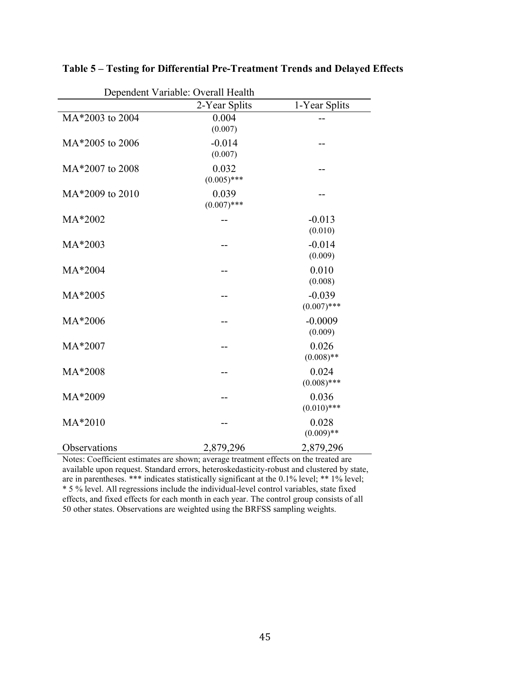| Dependent Variable: Overall Health |                                                                                                   |                           |  |  |  |  |  |
|------------------------------------|---------------------------------------------------------------------------------------------------|---------------------------|--|--|--|--|--|
|                                    | 2-Year Splits                                                                                     | 1-Year Splits             |  |  |  |  |  |
| MA*2003 to 2004                    | 0.004<br>(0.007)                                                                                  |                           |  |  |  |  |  |
| MA*2005 to 2006                    | $-0.014$<br>(0.007)                                                                               |                           |  |  |  |  |  |
| MA*2007 to 2008                    | 0.032<br>$(0.005)$ ***                                                                            |                           |  |  |  |  |  |
| MA*2009 to 2010                    | 0.039<br>$(0.007)$ ***                                                                            |                           |  |  |  |  |  |
| MA*2002                            |                                                                                                   | $-0.013$<br>(0.010)       |  |  |  |  |  |
| MA*2003                            |                                                                                                   | $-0.014$<br>(0.009)       |  |  |  |  |  |
| MA*2004                            |                                                                                                   | 0.010<br>(0.008)          |  |  |  |  |  |
| MA*2005                            |                                                                                                   | $-0.039$<br>$(0.007)$ *** |  |  |  |  |  |
| MA*2006                            |                                                                                                   | $-0.0009$<br>(0.009)      |  |  |  |  |  |
| MA*2007                            |                                                                                                   | 0.026<br>$(0.008)$ **     |  |  |  |  |  |
| MA*2008                            |                                                                                                   | 0.024<br>$(0.008)$ ***    |  |  |  |  |  |
| MA*2009                            |                                                                                                   | 0.036<br>$(0.010)$ ***    |  |  |  |  |  |
| MA*2010                            |                                                                                                   | 0.028<br>$(0.009)$ **     |  |  |  |  |  |
| Observations                       | 2,879,296<br>Notes: Coofficient estimates are shown; everyon treatment effects on the treated are | 2,879,296                 |  |  |  |  |  |

**Table 5 – Testing for Differential Pre-Treatment Trends and Delayed Effects** 

Notes: Coefficient estimates are shown; average treatment effects on the treated are available upon request. Standard errors, heteroskedasticity-robust and clustered by state, are in parentheses. \*\*\* indicates statistically significant at the 0.1% level; \*\* 1% level; \* 5 % level. All regressions include the individual-level control variables, state fixed effects, and fixed effects for each month in each year. The control group consists of all 50 other states. Observations are weighted using the BRFSS sampling weights.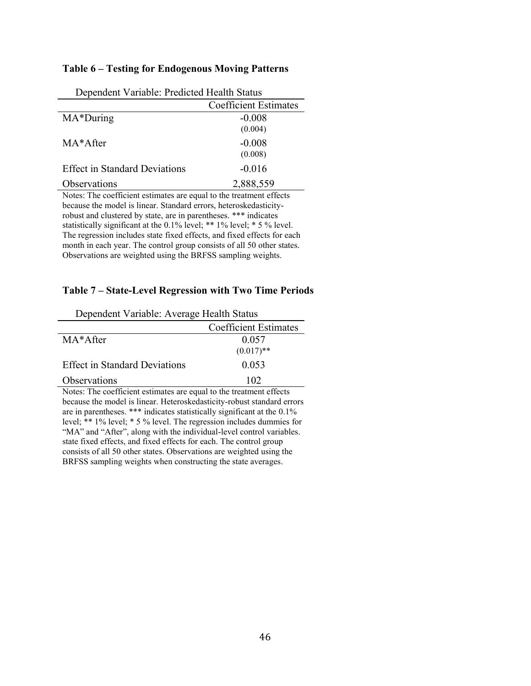#### **Table 6 – Testing for Endogenous Moving Patterns**

| Dependent Variable. I redicted ricarin Diatab                       |                              |
|---------------------------------------------------------------------|------------------------------|
|                                                                     | <b>Coefficient Estimates</b> |
| MA*During                                                           | $-0.008$                     |
|                                                                     | (0.004)                      |
| MA*After                                                            | $-0.008$                     |
|                                                                     | (0.008)                      |
| <b>Effect in Standard Deviations</b>                                | $-0.016$                     |
| Observations                                                        | 2,888,559                    |
| Notes: The coefficient estimates are equal to the treatment effects |                              |

Dependent Variable: Predicted Health Status

Notes: The coefficient estimates are equal to the treatment effects because the model is linear. Standard errors, heteroskedasticityrobust and clustered by state, are in parentheses. \*\*\* indicates statistically significant at the 0.1% level; \*\* 1% level; \* 5 % level. The regression includes state fixed effects, and fixed effects for each month in each year. The control group consists of all 50 other states. Observations are weighted using the BRFSS sampling weights.

#### **Table 7 – State-Level Regression with Two Time Periods**

| Dependent Variable: Average Health Status |                              |
|-------------------------------------------|------------------------------|
|                                           | <b>Coefficient Estimates</b> |
| MA*After                                  | 0.057                        |
|                                           | $(0.017)$ **                 |
| <b>Effect in Standard Deviations</b>      | 0.053                        |
| Observations                              | 102                          |
| $T = 1$<br>$\mathbf{r}$                   | $\alpha$                     |

Notes: The coefficient estimates are equal to the treatment effects because the model is linear. Heteroskedasticity-robust standard errors are in parentheses. \*\*\* indicates statistically significant at the 0.1% level; \*\* 1% level; \* 5 % level. The regression includes dummies for "MA" and "After", along with the individual-level control variables. state fixed effects, and fixed effects for each. The control group consists of all 50 other states. Observations are weighted using the BRFSS sampling weights when constructing the state averages.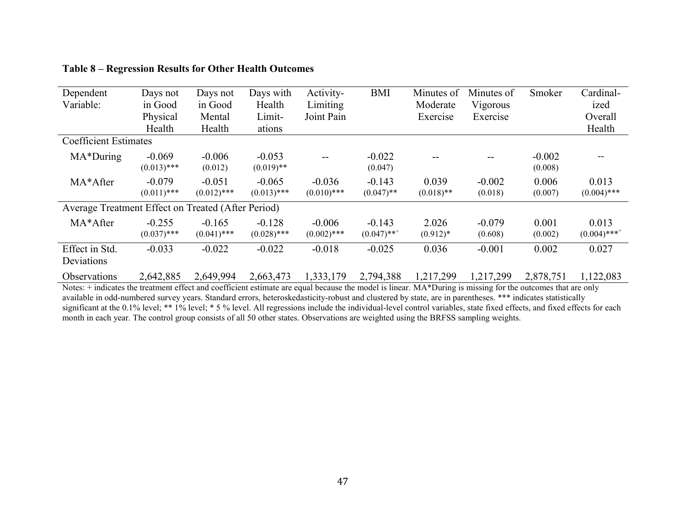| Dependent                                          | Days not                  | Days not                  | Days with                 | Activity-                 | <b>BMI</b>                            | Minutes of            | Minutes of          | Smoker              | Cardinal-                           |
|----------------------------------------------------|---------------------------|---------------------------|---------------------------|---------------------------|---------------------------------------|-----------------------|---------------------|---------------------|-------------------------------------|
| Variable:                                          | in Good                   | in Good                   | Health                    | Limiting                  |                                       | Moderate              | Vigorous            |                     | ized                                |
|                                                    | Physical                  | Mental                    | Limit-                    | Joint Pain                |                                       | Exercise              | Exercise            |                     | Overall                             |
|                                                    | Health                    | Health                    | ations                    |                           |                                       |                       |                     |                     | Health                              |
| <b>Coefficient Estimates</b>                       |                           |                           |                           |                           |                                       |                       |                     |                     |                                     |
| MA*During                                          | $-0.069$<br>$(0.013)$ *** | $-0.006$<br>(0.012)       | $-0.053$<br>$(0.019)$ **  | --                        | $-0.022$<br>(0.047)                   |                       |                     | $-0.002$<br>(0.008) | --                                  |
| MA*After                                           | $-0.079$<br>$(0.011)$ *** | $-0.051$<br>$(0.012)$ *** | $-0.065$<br>$(0.013)$ *** | $-0.036$<br>$(0.010)$ *** | $-0.143$<br>$(0.047)$ **              | 0.039<br>$(0.018)$ ** | $-0.002$<br>(0.018) | 0.006<br>(0.007)    | 0.013<br>$(0.004)$ ***              |
| Average Treatment Effect on Treated (After Period) |                           |                           |                           |                           |                                       |                       |                     |                     |                                     |
| MA*After                                           | $-0.255$<br>$(0.037)$ *** | $-0.165$<br>$(0.041)$ *** | $-0.128$<br>$(0.028)$ *** | $-0.006$<br>$(0.002)$ *** | $-0.143$<br>$(0.047)$ ** <sup>+</sup> | 2.026<br>$(0.912)*$   | $-0.079$<br>(0.608) | 0.001<br>(0.002)    | 0.013<br>$(0.004)$ *** <sup>+</sup> |
| Effect in Std.<br>Deviations                       | $-0.033$                  | $-0.022$                  | $-0.022$                  | $-0.018$                  | $-0.025$                              | 0.036                 | $-0.001$            | 0.002               | 0.027                               |
| Observations                                       | 2,642,885                 | 2,649,994                 | 2,663,473                 | 1,333,179                 | 2,794,388                             | 1,217,299             | 1,217,299           | 2,878,751           | 1,122,083                           |

## **Table 8 – Regression Results for Other Health Outcomes**

Notes: + indicates the treatment effect and coefficient estimate are equal because the model is linear. MA\*During is missing for the outcomes that are only available in odd-numbered survey years. Standard errors, heteroskedasticity-robust and clustered by state, are in parentheses. \*\*\* indicates statistically significant at the 0.1% level; \*\* 1% level; \* 5 % level. All regressions include the individual-level control variables, state fixed effects, and fixed effects for each month in each year. The control group consists of all 50 other states. Observations are weighted using the BRFSS sampling weights.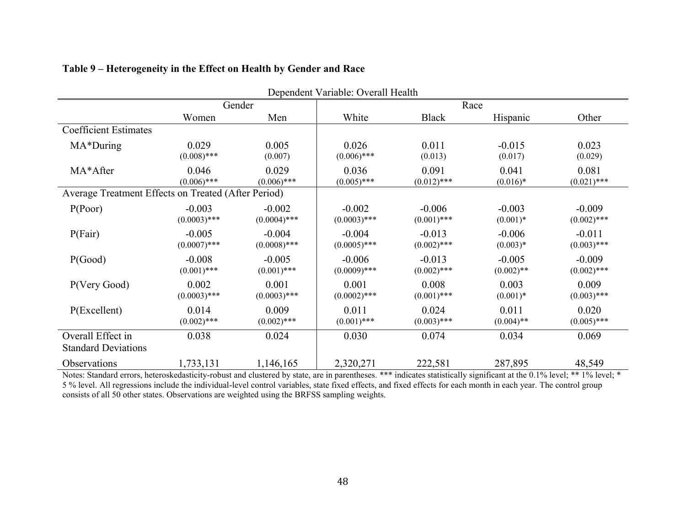|                                                     |                |                | Dependent Variable: Overall Health |               |              |               |  |
|-----------------------------------------------------|----------------|----------------|------------------------------------|---------------|--------------|---------------|--|
|                                                     |                | Gender         | Race                               |               |              |               |  |
|                                                     | Women          | Men            | White                              | <b>Black</b>  | Hispanic     | Other         |  |
| <b>Coefficient Estimates</b>                        |                |                |                                    |               |              |               |  |
| MA*During                                           | 0.029          | 0.005          | 0.026                              | 0.011         | $-0.015$     | 0.023         |  |
|                                                     | $(0.008)$ ***  | (0.007)        | $(0.006)$ ***                      | (0.013)       | (0.017)      | (0.029)       |  |
| MA*After                                            | 0.046          | 0.029          | 0.036                              | 0.091         | 0.041        | 0.081         |  |
|                                                     | $(0.006)$ ***  | $(0.006)$ ***  | $(0.005)$ ***                      | $(0.012)$ *** | $(0.016)*$   | $(0.021)$ *** |  |
| Average Treatment Effects on Treated (After Period) |                |                |                                    |               |              |               |  |
| P(Poor)                                             | $-0.003$       | $-0.002$       | $-0.002$                           | $-0.006$      | $-0.003$     | $-0.009$      |  |
|                                                     | $(0.0003)$ *** | $(0.0004)$ *** | $(0.0003)$ ***                     | $(0.001)$ *** | $(0.001)*$   | $(0.002)$ *** |  |
| P(Fair)                                             | $-0.005$       | $-0.004$       | $-0.004$                           | $-0.013$      | $-0.006$     | $-0.011$      |  |
|                                                     | $(0.0007)$ *** | $(0.0008)$ *** | $(0.0005)$ ***                     | $(0.002)$ *** | $(0.003)*$   | $(0.003)$ *** |  |
| P(Good)                                             | $-0.008$       | $-0.005$       | $-0.006$                           | $-0.013$      | $-0.005$     | $-0.009$      |  |
|                                                     | $(0.001)$ ***  | $(0.001)$ ***  | $(0.0009)$ ***                     | $(0.002)$ *** | $(0.002)$ ** | $(0.002)$ *** |  |
| P(Very Good)                                        | 0.002          | 0.001          | 0.001                              | 0.008         | 0.003        | 0.009         |  |
|                                                     | $(0.0003)$ *** | $(0.0003)$ *** | $(0.0002)$ ***                     | $(0.001)$ *** | $(0.001)*$   | $(0.003)$ *** |  |
| P(Excellent)                                        | 0.014          | 0.009          | 0.011                              | 0.024         | 0.011        | 0.020         |  |
|                                                     | $(0.002)$ ***  | $(0.002)$ ***  | $(0.001)$ ***                      | $(0.003)$ *** | $(0.004)$ ** | $(0.005)$ *** |  |
| Overall Effect in<br><b>Standard Deviations</b>     | 0.038          | 0.024          | 0.030                              | 0.074         | 0.034        | 0.069         |  |
| Observations                                        | 1,733,131      | 1,146,165      | 2,320,271                          | 222,581       | 287,895      | 48,549        |  |

# **Table 9 – Heterogeneity in the Effect on Health by Gender and Race**

Notes: Standard errors, heteroskedasticity-robust and clustered by state, are in parentheses. \*\*\* indicates statistically significant at the 0.1% level; \*\* 1% level; \* 5 % level. All regressions include the individual-level control variables, state fixed effects, and fixed effects for each month in each year. The control group consists of all 50 other states. Observations are weighted using the BRFSS sampling weights.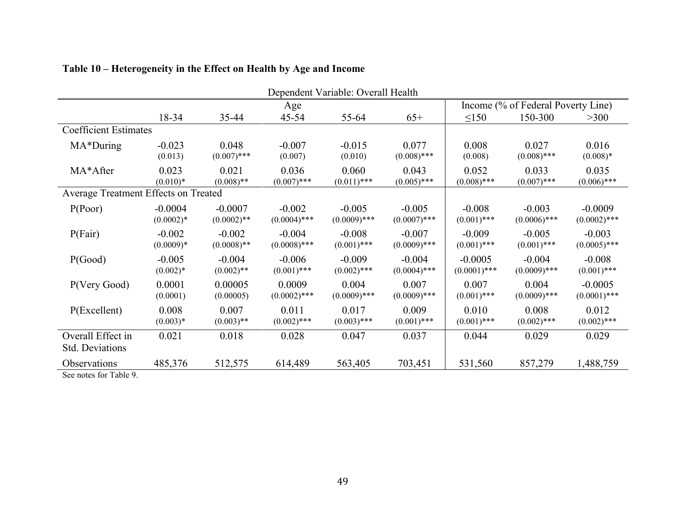|                                             |                          |                            |                            | Dependent Variable: Overall Health |                            |                             |                                    |                             |
|---------------------------------------------|--------------------------|----------------------------|----------------------------|------------------------------------|----------------------------|-----------------------------|------------------------------------|-----------------------------|
|                                             | Age                      |                            |                            |                                    |                            |                             | Income (% of Federal Poverty Line) |                             |
|                                             | 18-34                    | 35-44                      | $45 - 54$                  | 55-64                              | $65+$                      | $\leq 150$                  | 150-300                            | >300                        |
| <b>Coefficient Estimates</b>                |                          |                            |                            |                                    |                            |                             |                                    |                             |
| MA*During                                   | $-0.023$<br>(0.013)      | 0.048<br>$(0.007)$ ***     | $-0.007$<br>(0.007)        | $-0.015$<br>(0.010)                | 0.077<br>$(0.008)$ ***     | 0.008<br>(0.008)            | 0.027<br>$(0.008)$ ***             | 0.016<br>$(0.008)*$         |
| MA*After                                    | 0.023<br>$(0.010)*$      | 0.021<br>$(0.008)$ **      | 0.036<br>$(0.007)$ ***     | 0.060<br>$(0.011)$ ***             | 0.043<br>$(0.005)$ ***     | 0.052<br>$(0.008)$ ***      | 0.033<br>$(0.007)$ ***             | 0.035<br>$(0.006)$ ***      |
| Average Treatment Effects on Treated        |                          |                            |                            |                                    |                            |                             |                                    |                             |
| P(Poor)                                     | $-0.0004$<br>$(0.0002)*$ | $-0.0007$<br>$(0.0002)$ ** | $-0.002$<br>$(0.0004)$ *** | $-0.005$<br>$(0.0009)$ ***         | $-0.005$<br>$(0.0007)$ *** | $-0.008$<br>$(0.001)$ ***   | $-0.003$<br>$(0.0006)$ ***         | $-0.0009$<br>$(0.0002)$ *** |
| P(Fair)                                     | $-0.002$<br>$(0.0009)*$  | $-0.002$<br>$(0.0008)$ **  | $-0.004$<br>$(0.0008)$ *** | $-0.008$<br>$(0.001)$ ***          | $-0.007$<br>$(0.0009)$ *** | $-0.009$<br>$(0.001)$ ***   | $-0.005$<br>$(0.001)$ ***          | $-0.003$<br>$(0.0005)$ ***  |
| P(Good)                                     | $-0.005$<br>$(0.002)*$   | $-0.004$<br>$(0.002)$ **   | $-0.006$<br>$(0.001)$ ***  | $-0.009$<br>$(0.002)$ ***          | $-0.004$<br>$(0.0004)$ *** | $-0.0005$<br>$(0.0001)$ *** | $-0.004$<br>$(0.0009)$ ***         | $-0.008$<br>$(0.001)$ ***   |
| P(Very Good)                                | 0.0001<br>(0.0001)       | 0.00005<br>(0.00005)       | 0.0009<br>$(0.0002)$ ***   | 0.004<br>$(0.0009)$ ***            | 0.007<br>$(0.0009)$ ***    | 0.007<br>$(0.001)$ ***      | 0.004<br>$(0.0009)$ ***            | $-0.0005$<br>$(0.0001)$ *** |
| P(Excellent)                                | 0.008<br>$(0.003)*$      | 0.007<br>$(0.003)$ **      | 0.011<br>$(0.002)$ ***     | 0.017<br>$(0.003)$ ***             | 0.009<br>$(0.001)$ ***     | 0.010<br>$(0.001)$ ***      | 0.008<br>$(0.002)$ ***             | 0.012<br>$(0.002)$ ***      |
| Overall Effect in<br><b>Std. Deviations</b> | 0.021                    | 0.018                      | 0.028                      | 0.047                              | 0.037                      | 0.044                       | 0.029                              | 0.029                       |
| Observations                                | 485,376                  | 512,575                    | 614,489                    | 563,405                            | 703,451                    | 531,560                     | 857,279                            | 1,488,759                   |
| See notes for Table 9.                      |                          |                            |                            |                                    |                            |                             |                                    |                             |

# **Table 10 – Heterogeneity in the Effect on Health by Age and Income**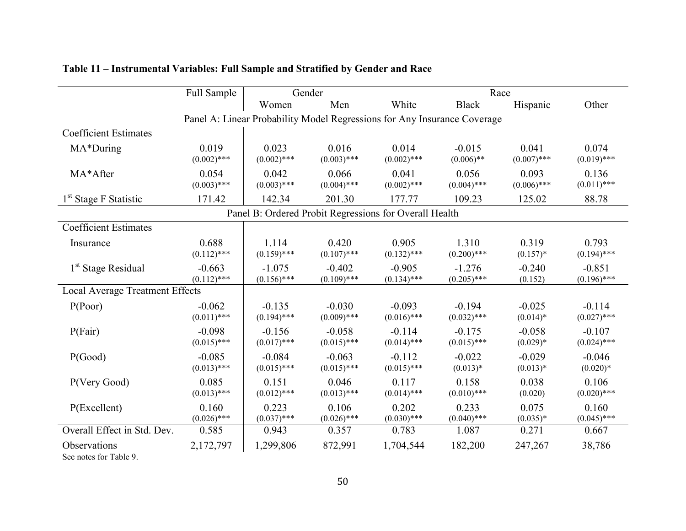|                                                                          | Full Sample               | Gender                                                 |                           | Race                      |                           |                        |                           |  |  |
|--------------------------------------------------------------------------|---------------------------|--------------------------------------------------------|---------------------------|---------------------------|---------------------------|------------------------|---------------------------|--|--|
|                                                                          |                           | Women                                                  | Men                       | White                     | <b>Black</b>              | Hispanic               | Other                     |  |  |
| Panel A: Linear Probability Model Regressions for Any Insurance Coverage |                           |                                                        |                           |                           |                           |                        |                           |  |  |
| <b>Coefficient Estimates</b>                                             |                           |                                                        |                           |                           |                           |                        |                           |  |  |
| MA*During                                                                | 0.019<br>$(0.002)$ ***    | 0.023<br>$(0.002)$ ***                                 | 0.016<br>$(0.003)$ ***    | 0.014<br>$(0.002)$ ***    | $-0.015$<br>$(0.006)$ **  | 0.041<br>$(0.007)$ *** | 0.074<br>$(0.019)$ ***    |  |  |
| MA*After                                                                 | 0.054<br>$(0.003)$ ***    | 0.042<br>$(0.003)$ ***                                 | 0.066<br>$(0.004)$ ***    | 0.041<br>$(0.002)$ ***    | 0.056<br>$(0.004)$ ***    | 0.093<br>$(0.006)$ *** | 0.136<br>$(0.011)$ ***    |  |  |
| 1 <sup>st</sup> Stage F Statistic                                        | 171.42                    | 142.34                                                 | 201.30                    | 177.77                    | 109.23                    | 125.02                 | 88.78                     |  |  |
|                                                                          |                           | Panel B: Ordered Probit Regressions for Overall Health |                           |                           |                           |                        |                           |  |  |
| <b>Coefficient Estimates</b>                                             |                           |                                                        |                           |                           |                           |                        |                           |  |  |
| Insurance                                                                | 0.688<br>$(0.112)$ ***    | 1.114<br>$(0.159)$ ***                                 | 0.420<br>$(0.107)$ ***    | 0.905<br>$(0.132)$ ***    | 1.310<br>$(0.200)$ ***    | 0.319<br>$(0.157)^*$   | 0.793<br>$(0.194)$ ***    |  |  |
| 1 <sup>st</sup> Stage Residual                                           | $-0.663$<br>$(0.112)$ *** | $-1.075$<br>$(0.156)$ ***                              | $-0.402$<br>$(0.109)$ *** | $-0.905$<br>$(0.134)$ *** | $-1.276$<br>$(0.205)$ *** | $-0.240$<br>(0.152)    | $-0.851$<br>$(0.196)$ *** |  |  |
| <b>Local Average Treatment Effects</b>                                   |                           |                                                        |                           |                           |                           |                        |                           |  |  |
| P(Poor)                                                                  | $-0.062$<br>$(0.011)$ *** | $-0.135$<br>$(0.194)$ ***                              | $-0.030$<br>$(0.009)$ *** | $-0.093$<br>$(0.016)$ *** | $-0.194$<br>$(0.032)$ *** | $-0.025$<br>$(0.014)*$ | $-0.114$<br>$(0.027)$ *** |  |  |
| P(Fair)                                                                  | $-0.098$<br>$(0.015)$ *** | $-0.156$<br>$(0.017)$ ***                              | $-0.058$<br>$(0.015)$ *** | $-0.114$<br>$(0.014)$ *** | $-0.175$<br>$(0.015)$ *** | $-0.058$<br>$(0.029)*$ | $-0.107$<br>$(0.024)$ *** |  |  |
| P(Good)                                                                  | $-0.085$<br>$(0.013)$ *** | $-0.084$<br>$(0.015)$ ***                              | $-0.063$<br>$(0.015)$ *** | $-0.112$<br>$(0.015)$ *** | $-0.022$<br>$(0.013)*$    | $-0.029$<br>$(0.013)*$ | $-0.046$<br>$(0.020)*$    |  |  |
| P(Very Good)                                                             | 0.085<br>$(0.013)$ ***    | 0.151<br>$(0.012)$ ***                                 | 0.046<br>$(0.013)$ ***    | 0.117<br>$(0.014)$ ***    | 0.158<br>$(0.010)$ ***    | 0.038<br>(0.020)       | 0.106<br>$(0.020)$ ***    |  |  |
| P(Excellent)                                                             | 0.160<br>$(0.026)$ ***    | 0.223<br>$(0.037)$ ***                                 | 0.106<br>$(0.026)$ ***    | 0.202<br>$(0.030)$ ***    | 0.233<br>$(0.040)$ ***    | 0.075<br>$(0.035)*$    | 0.160<br>$(0.045)$ ***    |  |  |
| Overall Effect in Std. Dev.                                              | 0.585                     | 0.943                                                  | 0.357                     | 0.783                     | 1.087                     | 0.271                  | 0.667                     |  |  |
| Observations<br>T110                                                     | 2,172,797                 | 1,299,806                                              | 872,991                   | 1,704,544                 | 182,200                   | 247,267                | 38,786                    |  |  |

# **Table 11 – Instrumental Variables: Full Sample and Stratified by Gender and Race**

See notes for Table 9.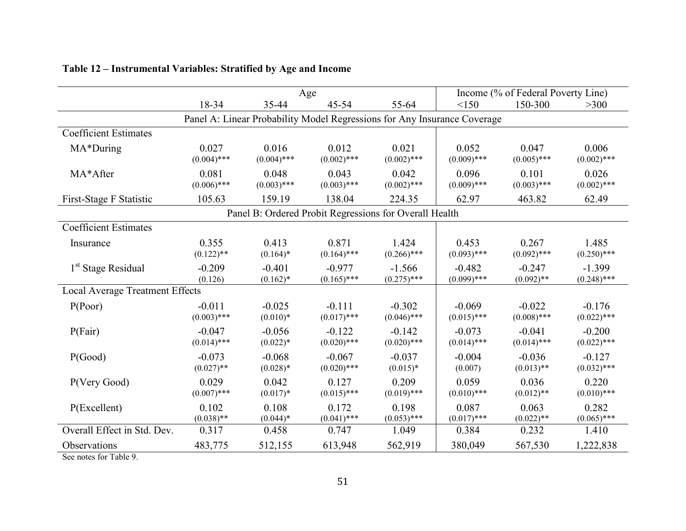|                                                                          | Age                       |                                                        |                           |                           | Income (% of Federal Poverty Line) |                           |                           |  |  |
|--------------------------------------------------------------------------|---------------------------|--------------------------------------------------------|---------------------------|---------------------------|------------------------------------|---------------------------|---------------------------|--|--|
|                                                                          | 18-34                     | 35-44                                                  | 45-54                     | 55-64                     | <150                               | 150-300                   | $>300$                    |  |  |
| Panel A: Linear Probability Model Regressions for Any Insurance Coverage |                           |                                                        |                           |                           |                                    |                           |                           |  |  |
| <b>Coefficient Estimates</b>                                             |                           |                                                        |                           |                           |                                    |                           |                           |  |  |
| MA*During                                                                | 0.027<br>$(0.004)$ ***    | 0.016<br>$(0.004)$ ***                                 | 0.012<br>$(0.002)$ ***    | 0.021<br>$(0.002)$ ***    | 0.052<br>$(0.009)$ ***             | 0.047<br>$(0.005)$ ***    | 0.006<br>$(0.002)$ ***    |  |  |
| MA*After                                                                 | 0.081<br>$(0.006)$ ***    | 0.048<br>$(0.003)$ ***                                 | 0.043<br>$(0.003)$ ***    | 0.042<br>$(0.002)$ ***    | 0.096<br>$(0.009)$ ***             | 0.101<br>$(0.003)$ ***    | 0.026<br>$(0.002)$ ***    |  |  |
| First-Stage F Statistic                                                  | 105.63                    | 159.19                                                 | 138.04                    | 224.35                    | 62.97                              | 463.82                    | 62.49                     |  |  |
|                                                                          |                           | Panel B: Ordered Probit Regressions for Overall Health |                           |                           |                                    |                           |                           |  |  |
| <b>Coefficient Estimates</b>                                             |                           |                                                        |                           |                           |                                    |                           |                           |  |  |
| Insurance                                                                | 0.355<br>$(0.122)$ **     | 0.413<br>$(0.164)$ *                                   | 0.871<br>$(0.164)$ ***    | 1.424<br>$(0.266)$ ***    | 0.453<br>$(0.093)$ ***             | 0.267<br>$(0.092)$ ***    | 1.485<br>$(0.250)$ ***    |  |  |
| 1 <sup>st</sup> Stage Residual                                           | $-0.209$<br>(0.126)       | $-0.401$<br>$(0.162)^*$                                | $-0.977$<br>$(0.165)$ *** | $-1.566$<br>$(0.275)$ *** | $-0.482$<br>$(0.099)$ ***          | $-0.247$<br>$(0.092)$ **  | $-1.399$<br>$(0.248)$ *** |  |  |
| Local Average Treatment Effects                                          |                           |                                                        |                           |                           |                                    |                           |                           |  |  |
| P(Poor)                                                                  | $-0.011$<br>$(0.003)$ *** | $-0.025$<br>$(0.010)*$                                 | $-0.111$<br>$(0.017)$ *** | $-0.302$<br>$(0.046)$ *** | $-0.069$<br>$(0.015)$ ***          | $-0.022$<br>$(0.008)$ *** | $-0.176$<br>$(0.022)$ *** |  |  |
| P(Fair)                                                                  | $-0.047$<br>$(0.014)$ *** | $-0.056$<br>$(0.022)*$                                 | $-0.122$<br>$(0.020)$ *** | $-0.142$<br>$(0.020)$ *** | $-0.073$<br>$(0.014)$ ***          | $-0.041$<br>$(0.014)$ *** | $-0.200$<br>$(0.022)$ *** |  |  |
| P(Good)                                                                  | $-0.073$<br>$(0.027)$ **  | $-0.068$<br>$(0.028)*$                                 | $-0.067$<br>$(0.020)$ *** | $-0.037$<br>$(0.015)*$    | $-0.004$<br>(0.007)                | $-0.036$<br>$(0.013)$ **  | $-0.127$<br>$(0.032)$ *** |  |  |
| P(Very Good)                                                             | 0.029<br>$(0.007)$ ***    | 0.042<br>$(0.017)*$                                    | 0.127<br>$(0.015)$ ***    | 0.209<br>$(0.019)$ ***    | 0.059<br>$(0.010)$ ***             | 0.036<br>$(0.012)$ **     | 0.220<br>$(0.010)$ ***    |  |  |
| P(Excellent)                                                             | 0.102<br>$(0.038)$ **     | 0.108<br>$(0.044)*$                                    | 0.172<br>$(0.041)$ ***    | 0.198<br>$(0.053)$ ***    | 0.087<br>$(0.017)$ ***             | 0.063<br>$(0.022)$ **     | 0.282<br>$(0.065)$ ***    |  |  |
| Overall Effect in Std. Dev.                                              | 0.317                     | 0.458                                                  | 0.747                     | 1.049                     | 0.384                              | 0.232                     | 1.410                     |  |  |
| Observations<br>T110                                                     | 483,775                   | 512,155                                                | 613,948                   | 562,919                   | 380,049                            | 567,530                   | 1,222,838                 |  |  |

# **Table 12 – Instrumental Variables: Stratified by Age and Income**

See notes for Table 9.